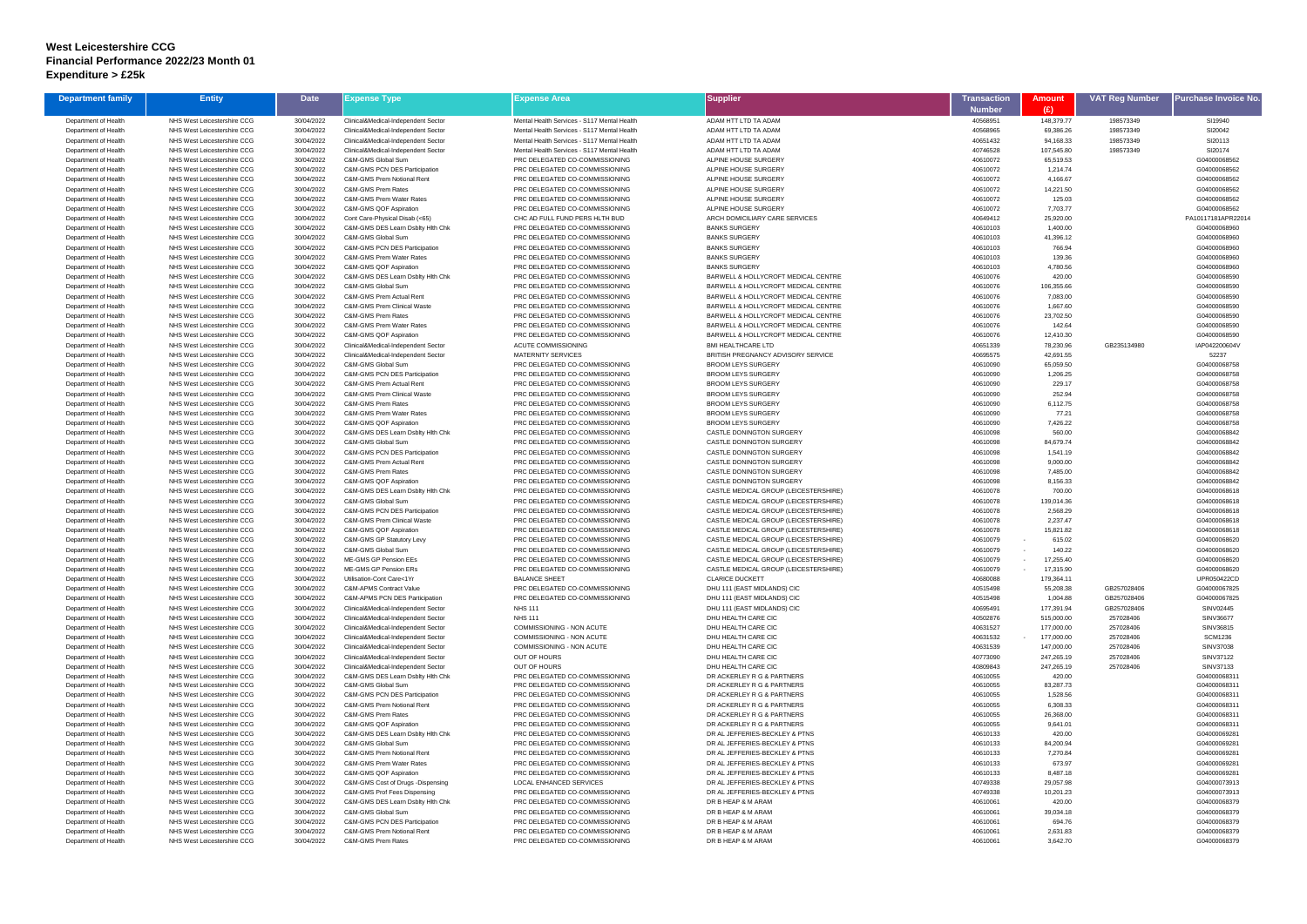## **West Leicestershire CCG Financial Performance 2022/23 Month 01 Expenditure > £25k**

| <b>Department family</b>                     | <b>Entity</b>                                              | <b>Date</b>              | Expense Type                                                             | Expense Area                                                     | <b>Supplier</b>                                                                | <b>Transaction</b>        | Amount                 | <b>VAT Reg Number</b>      | <sup>o</sup> urchase Invoice No |
|----------------------------------------------|------------------------------------------------------------|--------------------------|--------------------------------------------------------------------------|------------------------------------------------------------------|--------------------------------------------------------------------------------|---------------------------|------------------------|----------------------------|---------------------------------|
| Department of Health                         | NHS West Leicestershire CCG                                | 30/04/2022               | Clinical&Medical-Independent Sector                                      | Mental Health Services - S117 Mental Health                      | ADAM HTT LTD TA ADAM                                                           | <b>Number</b><br>40568951 | (£)<br>148,379.77      | 198573349                  | SI19940                         |
| Department of Health                         | NHS West Leicestershire CCG                                | 30/04/2022               | Clinical&Medical-Independent Sector                                      | Mental Health Services - S117 Mental Health                      | ADAM HTT LTD TA ADAM                                                           | 40568965                  | 69,386.26              | 198573349                  | SI20042                         |
| Department of Health                         | NHS West Leicestershire CCG                                | 30/04/2022               | Clinical&Medical-Independent Sector                                      | Mental Health Services - S117 Mental Health                      | ADAM HTT LTD TA ADAM                                                           | 40651432                  | 94,168.33              | 198573349                  | SI20113                         |
| Department of Health                         | NHS West Leicestershire CCG                                | 30/04/2022               | Clinical&Medical-Independent Sector                                      | Mental Health Services - S117 Mental Health                      | ADAM HTT LTD TA ADAM                                                           | 40746528                  | 107,545.80             | 198573349                  | SI20174                         |
| Department of Health                         | NHS West Leicestershire CCG                                | 30/04/2022               | C&M-GMS Global Sum                                                       | PRC DELEGATED CO-COMMISSIONING                                   | <b>ALPINE HOUSE SURGERY</b>                                                    | 40610072                  | 65,519.53              |                            | G04000068562                    |
| Department of Health                         | NHS West Leicestershire CCG                                | 30/04/2022               | C&M-GMS PCN DES Participation                                            | PRC DELEGATED CO-COMMISSIONING                                   | ALPINE HOUSE SURGERY                                                           | 40610072                  | 1,214.74               |                            | G04000068562                    |
| Department of Health                         | NHS West Leicestershire CCG                                | 30/04/2022               | C&M-GMS Prem Notional Rent                                               | PRC DELEGATED CO-COMMISSIONING                                   | ALPINE HOUSE SURGERY                                                           | 40610072                  | 4,166.67               |                            | G04000068562                    |
| Department of Health                         | NHS West Leicestershire CCG                                | 30/04/2022               | C&M-GMS Prem Rates                                                       | PRC DELEGATED CO-COMMISSIONING                                   | ALPINE HOUSE SURGERY                                                           | 40610072                  | 14,221.50              |                            | G04000068562                    |
| Department of Health<br>Department of Health | NHS West Leicestershire CCG<br>NHS West Leicestershire CCG | 30/04/2022<br>30/04/2022 | C&M-GMS Prem Water Rates<br>C&M-GMS QOF Aspiration                       | PRC DELEGATED CO-COMMISSIONING<br>PRC DELEGATED CO-COMMISSIONING | ALPINE HOUSE SURGERY<br>ALPINE HOUSE SURGERY                                   | 40610072<br>40610072      | 125.03<br>7,703.77     |                            | G04000068562<br>G04000068562    |
| Department of Health                         | NHS West Leicestershire CCG                                | 30/04/2022               | Cont Care-Physical Disab (<65)                                           | CHC AD FULL FUND PERS HLTH BUD                                   | ARCH DOMICILIARY CARE SERVICES                                                 | 40649412                  | 25,920.00              |                            | PA10117181APR22014              |
| Department of Health                         | NHS West Leicestershire CCG                                | 30/04/2022               | C&M-GMS DES Learn Dsblty Hlth Chk                                        | PRC DELEGATED CO-COMMISSIONING                                   | <b>BANKS SURGERY</b>                                                           | 40610103                  | 1,400.00               |                            | G04000068960                    |
| Department of Health                         | NHS West Leicestershire CCG                                | 30/04/2022               | C&M-GMS Global Sum                                                       | PRC DELEGATED CO-COMMISSIONING                                   | <b>BANKS SURGERY</b>                                                           | 40610103                  | 41,396.12              |                            | G04000068960                    |
| Department of Health                         | NHS West Leicestershire CCG                                | 30/04/2022               | C&M-GMS PCN DES Participation                                            | PRC DELEGATED CO-COMMISSIONING                                   | <b>BANKS SURGERY</b>                                                           | 40610103                  | 766.94                 |                            | G04000068960                    |
| Department of Health                         | NHS West Leicestershire CCG                                | 30/04/2022               | C&M-GMS Prem Water Rates                                                 | PRC DELEGATED CO-COMMISSIONING                                   | <b>BANKS SURGERY</b>                                                           | 40610103                  | 139.36                 |                            | G04000068960                    |
| Department of Health                         | NHS West Leicestershire CCG                                | 30/04/2022               | C&M-GMS QOF Aspiration                                                   | PRC DELEGATED CO-COMMISSIONING                                   | <b>BANKS SURGERY</b>                                                           | 40610103                  | 4,780.56               |                            | G04000068960                    |
| Department of Health<br>Department of Health | NHS West Leicestershire CCG<br>NHS West Leicestershire CCG | 30/04/2022               | C&M-GMS DES Learn Dsblty Hlth Chk<br>C&M-GMS Global Sum                  | PRC DELEGATED CO-COMMISSIONING<br>PRC DELEGATED CO-COMMISSIONING | BARWELL & HOLLYCROFT MEDICAL CENTRE<br>BARWELL & HOLLYCROFT MEDICAL CENTRE     | 40610076<br>40610076      | 420.00<br>106,355.66   |                            | G04000068590<br>G04000068590    |
| Department of Health                         | NHS West Leicestershire CCG                                | 30/04/2022<br>30/04/2022 | C&M-GMS Prem Actual Rent                                                 | PRC DELEGATED CO-COMMISSIONING                                   | BARWELL & HOLLYCROFT MEDICAL CENTRE                                            | 40610076                  | 7,083.00               |                            | G04000068590                    |
| Department of Health                         | NHS West Leicestershire CCG                                | 30/04/2022               | <b>C&amp;M-GMS Prem Clinical Waste</b>                                   | PRC DELEGATED CO-COMMISSIONING                                   | BARWELL & HOLLYCROFT MEDICAL CENTRE                                            | 40610076                  | 1,667.60               |                            | G04000068590                    |
| Department of Health                         | NHS West Leicestershire CCG                                | 30/04/2022               | <b>C&amp;M-GMS Prem Rates</b>                                            | PRC DELEGATED CO-COMMISSIONING                                   | BARWELL & HOLLYCROFT MEDICAL CENTRE                                            | 40610076                  | 23,702.50              |                            | G04000068590                    |
| Department of Health                         | NHS West Leicestershire CCG                                | 30/04/2022               | C&M-GMS Prem Water Rates                                                 | PRC DELEGATED CO-COMMISSIONING                                   | BARWELL & HOLLYCROFT MEDICAL CENTRE                                            | 40610076                  | 142.64                 |                            | G04000068590                    |
| Department of Health                         | NHS West Leicestershire CCG                                | 30/04/2022               | C&M-GMS QOF Aspiration                                                   | PRC DELEGATED CO-COMMISSIONING                                   | BARWELL & HOLLYCROFT MEDICAL CENTRE                                            | 40610076                  | 12,410.30              |                            | G04000068590                    |
| Department of Health                         | NHS West Leicestershire CCG                                | 30/04/2022               | Clinical&Medical-Independent Sector                                      | ACUTE COMMISSIONING                                              | <b>BMI HEALTHCARE LTD</b>                                                      | 40651339                  | 78,230.96              | GB235134980                | IAP042200604V                   |
| Department of Health                         | NHS West Leicestershire CCG                                | 30/04/2022               | Clinical&Medical-Independent Sector                                      | <b>MATERNITY SERVICES</b>                                        | BRITISH PREGNANCY ADVISORY SERVICE                                             | 40695575                  | 42,691.55              |                            | 52237                           |
| Department of Health<br>Department of Health | NHS West Leicestershire CCG<br>NHS West Leicestershire CCG | 30/04/2022<br>30/04/2022 | C&M-GMS Global Sum<br>C&M-GMS PCN DES Participation                      | PRC DELEGATED CO-COMMISSIONING<br>PRC DELEGATED CO-COMMISSIONING | <b>BROOM LEYS SURGERY</b><br><b>BROOM LEYS SURGERY</b>                         | 40610090<br>40610090      | 65,059.50<br>1,206.25  |                            | G04000068758<br>G04000068758    |
| Department of Health                         | NHS West Leicestershire CCG                                | 30/04/2022               | C&M-GMS Prem Actual Rent                                                 | PRC DELEGATED CO-COMMISSIONING                                   | <b>BROOM LEYS SURGERY</b>                                                      | 40610090                  | 229.17                 |                            | G04000068758                    |
| Department of Health                         | NHS West Leicestershire CCG                                | 30/04/2022               | C&M-GMS Prem Clinical Waste                                              | PRC DELEGATED CO-COMMISSIONING                                   | <b>BROOM LEYS SURGERY</b>                                                      | 40610090                  | 252.94                 |                            | G04000068758                    |
| Department of Health                         | NHS West Leicestershire CCG                                | 30/04/2022               | C&M-GMS Prem Rates                                                       | PRC DELEGATED CO-COMMISSIONING                                   | <b>BROOM LEYS SURGERY</b>                                                      | 40610090                  | 6,112.75               |                            | G04000068758                    |
| Department of Health                         | NHS West Leicestershire CCG                                | 30/04/2022               | C&M-GMS Prem Water Rates                                                 | PRC DELEGATED CO-COMMISSIONING                                   | <b>BROOM LEYS SURGERY</b>                                                      | 40610090                  | 77.21                  |                            | G04000068758                    |
| Department of Health                         | NHS West Leicestershire CCG                                | 30/04/2022               | C&M-GMS QOF Aspiration                                                   | PRC DELEGATED CO-COMMISSIONING                                   | <b>BROOM LEYS SURGERY</b>                                                      | 40610090                  | 7,426.22               |                            | G04000068758                    |
| Department of Health                         | NHS West Leicestershire CCG                                | 30/04/2022               | C&M-GMS DES Learn Dsblty Hlth Chk                                        | PRC DELEGATED CO-COMMISSIONING                                   | CASTLE DONINGTON SURGERY                                                       | 40610098                  | 560.00                 |                            | G04000068842                    |
| Department of Health<br>Department of Health | NHS West Leicestershire CCG<br>NHS West Leicestershire CCG | 30/04/2022<br>30/04/2022 | C&M-GMS Global Sum<br>C&M-GMS PCN DES Participation                      | PRC DELEGATED CO-COMMISSIONING<br>PRC DELEGATED CO-COMMISSIONING | CASTLE DONINGTON SURGERY<br>CASTLE DONINGTON SURGERY                           | 40610098<br>40610098      | 84,679.74<br>1,541.19  |                            | G04000068842<br>G04000068842    |
| Department of Health                         | NHS West Leicestershire CCG                                | 30/04/2022               | C&M-GMS Prem Actual Rent                                                 | PRC DELEGATED CO-COMMISSIONING                                   | <b>CASTLE DONINGTON SURGERY</b>                                                | 40610098                  | 9,000.00               |                            | G04000068842                    |
| Department of Health                         | NHS West Leicestershire CCG                                | 30/04/2022               | <b>C&amp;M-GMS Prem Rates</b>                                            | PRC DELEGATED CO-COMMISSIONING                                   | CASTLE DONINGTON SURGERY                                                       | 40610098                  | 7,485.00               |                            | G04000068842                    |
| Department of Health                         | NHS West Leicestershire CCG                                | 30/04/2022               | C&M-GMS QOF Aspiration                                                   | PRC DELEGATED CO-COMMISSIONING                                   | <b>CASTLE DONINGTON SURGERY</b>                                                | 40610098                  | 8,156.33               |                            | G04000068842                    |
| Department of Health                         | NHS West Leicestershire CCG                                | 30/04/2022               | C&M-GMS DES Learn Dsblty Hlth Chk                                        | PRC DELEGATED CO-COMMISSIONING                                   | CASTLE MEDICAL GROUP (LEICESTERSHIRE)                                          | 40610078                  | 700.00                 |                            | G04000068618                    |
| Department of Health                         | NHS West Leicestershire CCG                                | 30/04/2022               | C&M-GMS Global Sum                                                       | PRC DELEGATED CO-COMMISSIONING                                   | CASTLE MEDICAL GROUP (LEICESTERSHIRE)                                          | 40610078                  | 139,014.36             |                            | G04000068618                    |
| Department of Health                         | NHS West Leicestershire CCG                                | 30/04/2022               | C&M-GMS PCN DES Participation                                            | PRC DELEGATED CO-COMMISSIONING                                   | CASTLE MEDICAL GROUP (LEICESTERSHIRE)                                          | 40610078<br>40610078      | 2,568.29               |                            | G04000068618                    |
| Department of Health<br>Department of Health | NHS West Leicestershire CCG<br>NHS West Leicestershire CCG | 30/04/2022<br>30/04/2022 | <b>C&amp;M-GMS Prem Clinical Waste</b><br>C&M-GMS QOF Aspiration         | PRC DELEGATED CO-COMMISSIONING<br>PRC DELEGATED CO-COMMISSIONING | CASTLE MEDICAL GROUP (LEICESTERSHIRE)<br>CASTLE MEDICAL GROUP (LEICESTERSHIRE) | 40610078                  | 2,237.47<br>15,821.82  |                            | G04000068618<br>G04000068618    |
| Department of Health                         | NHS West Leicestershire CCG                                | 30/04/2022               | C&M-GMS GP Statutory Levy                                                | PRC DELEGATED CO-COMMISSIONING                                   | CASTLE MEDICAL GROUP (LEICESTERSHIRE)                                          | 40610079                  | 615.02                 |                            | G04000068620                    |
| Department of Health                         | NHS West Leicestershire CCG                                | 30/04/2022               | C&M-GMS Global Sum                                                       | PRC DELEGATED CO-COMMISSIONING                                   | CASTLE MEDICAL GROUP (LEICESTERSHIRE)                                          | 40610079                  | 140.22                 |                            | G04000068620                    |
| Department of Health                         | NHS West Leicestershire CCG                                | 30/04/2022               | ME-GMS GP Pension EEs                                                    | PRC DELEGATED CO-COMMISSIONING                                   | CASTLE MEDICAL GROUP (LEICESTERSHIRE)                                          | 40610079                  | 17,255.40              |                            | G04000068620                    |
| Department of Health                         | NHS West Leicestershire CCG                                | 30/04/2022               | ME-GMS GP Pension ERs                                                    | PRC DELEGATED CO-COMMISSIONING                                   | CASTLE MEDICAL GROUP (LEICESTERSHIRE)                                          | 40610079                  | 17,315.90              |                            | G04000068620                    |
| Department of Health                         | NHS West Leicestershire CCG                                | 30/04/2022               | Utilisation-Cont Care<1Yr                                                | <b>BALANCE SHEET</b>                                             | <b>CLARICE DUCKETT</b>                                                         | 40680088                  | 179.364.11             |                            | UPR050422CD                     |
| Department of Health                         | NHS West Leicestershire CCG                                | 30/04/2022               | <b>C&amp;M-APMS Contract Value</b><br>C&M-APMS PCN DES Participation     | PRC DELEGATED CO-COMMISSIONING<br>PRC DELEGATED CO-COMMISSIONING | DHU 111 (EAST MIDLANDS) CIC<br>DHU 111 (EAST MIDLANDS) CIC                     | 40515498<br>40515498      | 55,208.38              | GB257028406<br>GB257028406 | G04000067825<br>G04000067825    |
| Department of Health<br>Department of Health | NHS West Leicestershire CCG<br>NHS West Leicestershire CCG | 30/04/2022<br>30/04/2022 | Clinical&Medical-Independent Sector                                      | <b>NHS 111</b>                                                   | DHU 111 (EAST MIDLANDS) CIC                                                    | 40695491                  | 1,004.88<br>177,391.94 | GB257028406                | SINV02445                       |
| Department of Health                         | NHS West Leicestershire CCG                                | 30/04/2022               | Clinical&Medical-Independent Sector                                      | <b>NHS 111</b>                                                   | DHU HEALTH CARE CIC                                                            | 40502876                  | 515,000.00             | 257028406                  | SINV36677                       |
| Department of Health                         | NHS West Leicestershire CCG                                | 30/04/2022               | Clinical&Medical-Independent Sector                                      | COMMISSIONING - NON ACUTE                                        | DHU HEALTH CARE CIC                                                            | 40631527                  | 177,000.00             | 257028406                  | SINV36815                       |
| Department of Health                         | NHS West Leicestershire CCG                                | 30/04/2022               | Clinical&Medical-Independent Sector                                      | COMMISSIONING - NON ACUTE                                        | DHU HEALTH CARE CIC                                                            | 40631532                  | 177,000.00             | 257028406                  | <b>SCM1236</b>                  |
| Department of Health                         | NHS West Leicestershire CCG                                | 30/04/2022               | Clinical&Medical-Independent Sector                                      | COMMISSIONING - NON ACUTE                                        | DHU HEALTH CARE CIC                                                            | 40631539                  | 147,000.00             | 257028406                  | SINV37038                       |
| Department of Health                         | NHS West Leicestershire CCG                                | 30/04/2022               | Clinical&Medical-Independent Sector                                      | OUT OF HOURS                                                     | DHU HEALTH CARE CIC                                                            | 40773090                  | 247,265.19             | 257028406                  | SINV37122                       |
| Department of Health<br>Department of Health | NHS West Leicestershire CCG<br>NHS West Leicestershire CCG | 30/04/2022<br>30/04/2022 | Clinical&Medical-Independent Sector<br>C&M-GMS DES Learn Dsblty Hlth Chk | OUT OF HOURS<br>PRC DELEGATED CO-COMMISSIONING                   | DHU HEALTH CARE CIC<br>DR ACKERLEY R G & PARTNERS                              | 40809843<br>40610055      | 247,265.19<br>420.00   | 257028406                  | SINV37133<br>G04000068311       |
| Department of Health                         | NHS West Leicestershire CCG                                | 30/04/2022               | C&M-GMS Global Sum                                                       | PRC DELEGATED CO-COMMISSIONING                                   | DR ACKERLEY R G & PARTNERS                                                     | 40610055                  | 83,287.73              |                            | G04000068311                    |
| Department of Health                         | NHS West Leicestershire CCG                                | 30/04/2022               | C&M-GMS PCN DES Participation                                            | PRC DELEGATED CO-COMMISSIONING                                   | DR ACKERLEY R G & PARTNERS                                                     | 40610055                  | 1,528.56               |                            | G04000068311                    |
| Department of Health                         | NHS West Leicestershire CCG                                | 30/04/2022               | C&M-GMS Prem Notional Rent                                               | PRC DELEGATED CO-COMMISSIONING                                   | DR ACKERLEY R G & PARTNERS                                                     | 40610055                  | 6,308.33               |                            | G04000068311                    |
| Department of Health                         | NHS West Leicestershire CCG                                | 30/04/2022               | C&M-GMS Prem Rates                                                       | PRC DELEGATED CO-COMMISSIONING                                   | DR ACKERLEY R G & PARTNERS                                                     | 40610055                  | 26,368.00              |                            | G04000068311                    |
| Department of Health                         | NHS West Leicestershire CCG                                | 30/04/2022               | C&M-GMS QOF Aspiration                                                   | PRC DELEGATED CO-COMMISSIONING                                   | DR ACKERLEY R G & PARTNERS                                                     | 40610055                  | 9,641.01               |                            | G04000068311                    |
| Department of Health                         | NHS West Leicestershire CCG<br>NHS West Leicestershire CCG | 30/04/2022<br>30/04/2022 | C&M-GMS DES Learn Dsblty Hith Chk<br>C&M-GMS Global Sum                  | PRC DELEGATED CO-COMMISSIONING<br>PRC DELEGATED CO-COMMISSIONING | DR AL JEFFERIES-BECKLEY & PTNS<br>DR AL JEFFERIES-BECKLEY & PTNS               | 40610133<br>40610133      | 420.00<br>84,200.94    |                            | G04000069281<br>G04000069281    |
| Department of Health<br>Department of Health | NHS West Leicestershire CCG                                | 30/04/2022               | C&M-GMS Prem Notional Rent                                               | PRC DELEGATED CO-COMMISSIONING                                   | DR AL JEFFERIES-BECKLEY & PTNS                                                 | 40610133                  | 7,270.84               |                            | G04000069281                    |
| Department of Health                         | NHS West Leicestershire CCG                                | 30/04/2022               | C&M-GMS Prem Water Rates                                                 | PRC DELEGATED CO-COMMISSIONING                                   | DR AL JEFFERIES-BECKLEY & PTNS                                                 | 40610133                  | 673.97                 |                            | G04000069281                    |
| Department of Health                         | NHS West Leicestershire CCG                                | 30/04/2022               | C&M-GMS QOF Aspiration                                                   | PRC DELEGATED CO-COMMISSIONING                                   | DR AL JEFFERIES-BECKLEY & PTNS                                                 | 40610133                  | 8,487.18               |                            | G04000069281                    |
| Department of Health                         | NHS West Leicestershire CCG                                | 30/04/2022               | C&M-GMS Cost of Drugs -Dispensing                                        | <b>LOCAL ENHANCED SERVICES</b>                                   | DR AL JEFFERIES-BECKLEY & PTNS                                                 | 40749338                  | 29,057.98              |                            | G04000073913                    |
| Department of Health                         | NHS West Leicestershire CCG                                | 30/04/2022               | C&M-GMS Prof Fees Dispensing                                             | PRC DELEGATED CO-COMMISSIONING                                   | DR AL JEFFERIES-BECKLEY & PTNS                                                 | 40749338                  | 10,201.23              |                            | G04000073913                    |
| Department of Health                         | NHS West Leicestershire CCG                                | 30/04/2022               | C&M-GMS DES Learn Dsblty Hlth Chk                                        | PRC DELEGATED CO-COMMISSIONING                                   | DR B HEAP & M ARAM                                                             | 40610061                  | 420.00                 |                            | G04000068379                    |
| Department of Health                         | NHS West Leicestershire CCG                                | 30/04/2022               | C&M-GMS Global Sum                                                       | PRC DELEGATED CO-COMMISSIONING                                   | DR B HEAP & M ARAM<br>DR B HEAP & M ARAM                                       | 40610061                  | 39,034.18              |                            | G04000068379                    |
| Department of Health<br>Department of Health | NHS West Leicestershire CCG<br>NHS West Leicestershire CCG | 30/04/2022<br>30/04/2022 | <b>C&amp;M-GMS PCN DES Participation</b><br>C&M-GMS Prem Notional Rent   | PRC DELEGATED CO-COMMISSIONING<br>PRC DELEGATED CO-COMMISSIONING | DR B HEAP & M ARAM                                                             | 40610061<br>40610061      | 694.76<br>2,631.83     |                            | G04000068379<br>G04000068379    |
| Department of Health                         | NHS West Leicestershire CCG                                | 30/04/2022               | <b>C&amp;M-GMS Prem Rates</b>                                            | PRC DELEGATED CO-COMMISSIONING                                   | DR B HEAP & M ARAM                                                             | 40610061                  | 3,642.70               |                            | G04000068379                    |
|                                              |                                                            |                          |                                                                          |                                                                  |                                                                                |                           |                        |                            |                                 |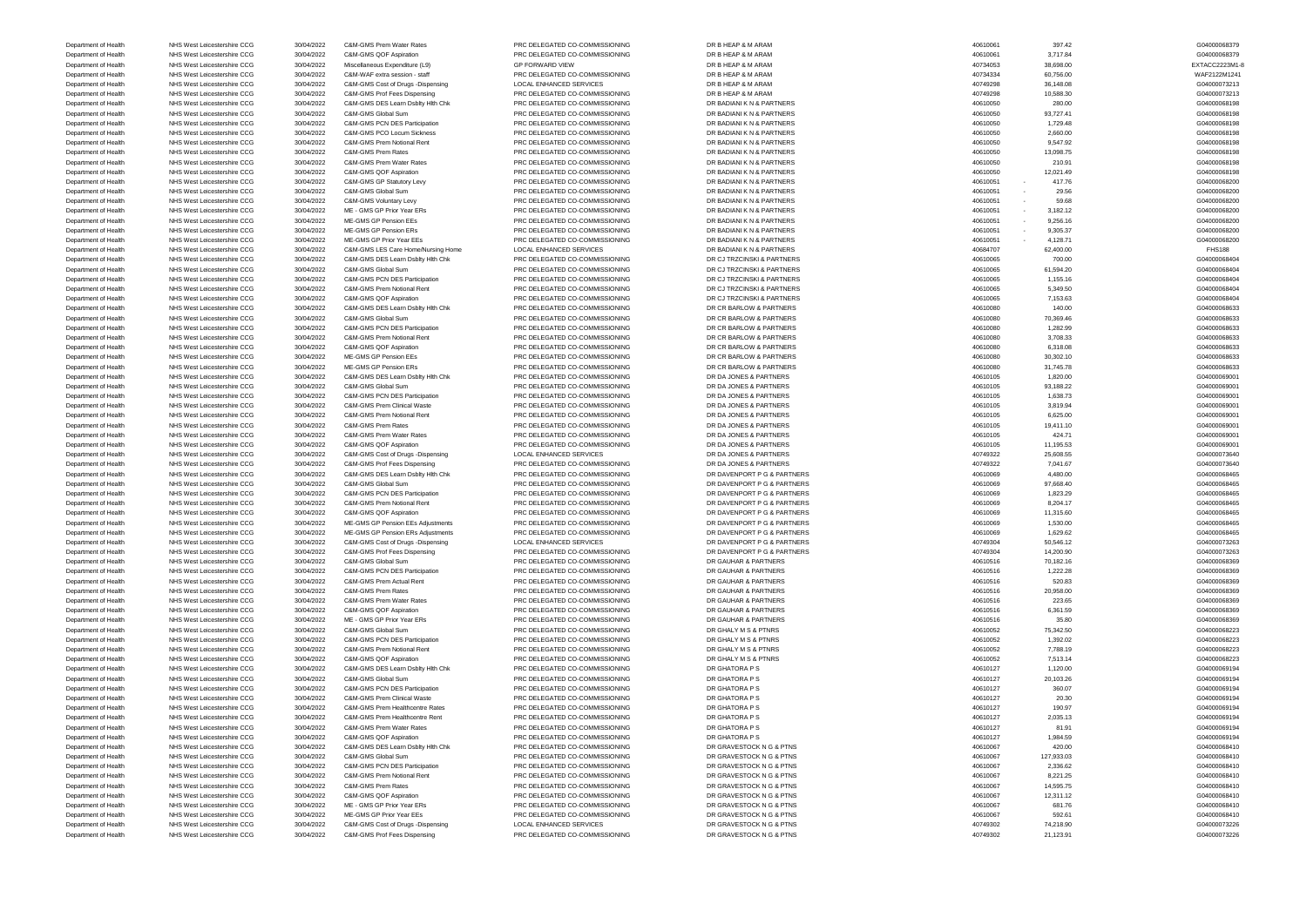Department of Health NHS West Leicestershire CCG 30/04/2022 C&M-GMS Prof Fees Dispensing PRC DELEGATED CO-COMMISSIONING DR GRAVESTOCK N G & PTNS 40749302 40749302 21,123.91 21,123.91 G04000073226

Department of Health NHS West Leicestershire CCG 30/04/2022 C&M-GMS Prem Water Rates PRC DELEGATED CO-COMMISSIONING DR B HEAP & M ARAM 40610061 40610061 397.42 40610061 397.42 G04000068379 Department of Health NHS West Leicestershire CCG 30/04/2022 C&M-GMS QOF Aspiration PRC DELEGATED CO-COMMISSIONING DR B HEAP & M ARAM 406100 Department of Health NHS West Leicestershire CCG 30/04/2022 Miscellaneous Expenditure (L9) GP FORWARD VIEW DR B HEAP & M ARAM 40734053 38,698.00 EXTACC2223M1-8 Department of Health NHS West Leicestershire CCG 30/04/2022 C&M-WAF extra session - staff PRC DELEGATED CO-COMMISSIONING DR B HEAP & M ARAM 40734334 460,756.00 60,756.00 WAF2122M1241 Department of Health NHS West Leicestershire CCG 30/04/2022 C&M-GMS Cost of Drugs -Dispensing LOCAL ENHANCED SERVICES DR B HEAP & M ARAM 40749298 40749298 36,148.08 36,148.08 504000073213 Department of Health NHS West Leicestershire CCG 30/04/2022 C&M-GMS Prof Fees Dispensing PRC DELEGATED CO-COMMISSIONING DR B HEAP & M ARAM 40749298 40749298 40749298 10,588.30 40700073213 Department of Health NHS West Leicestershire CCG 30/04/2022 C&M-GMS DES Learn Dsblty Hlth Chk PRC DELEGATED CO-COMMISSIONING DR BADIANI K N & PARTNERS 40610050 40610050 280.00 280.00 280.00 280.00 C04000068198 Department of Health NHS West Leicestershire CCG 30/04/2022 C&M-GMS Global Sum PRC DELEGATED CO-COMMISSIONING DR BADIANI K N & PARTNERS 40610050 93,727.41 40610050 93,727.41 G04000068198 Department of Health NHS West Leicestershire CCG 30/04/2022 C&M-GMS PCN DES Participation PRC DELEGATED CO-COMMISSIONING DR BADIANI K N & PARTNERS 40610050 40610050 1,729.48 40610058198 Department of Health NHS West Leicestershire CCG 30/04/2022 C&M-GMS PCO Locum Sickness PRC DELEGATED CO-COMMISSIONING DR BADIANI K N & PARTNERS 40610050 40610050 2,660.00 2,660.00 2,660.00 C04000068198 Department of Health NHS West Leicestershire CCG 30/04/2022 C&M-GMS Prem Notional Rent PRC DELEGATED CO-COMMISSIONING DR BADIANI K N & PARTNERS 40610050 9,547.92 40610050 9,547.92 G04000068198 Department of Health NHS West Leicestershire CCG 30/04/2022 C&M-GMS Prem Rates PRC DELEGATED CO-COMMISSIONING DR BADIANI K N & PARTNERS 40610050 40610050 13,098.75 40610058198 Department of Health NHS West Leicestershire CCG 30/04/2022 C&M-GMS Prem Water Rates PRC DELEGATED CO-COMMISSIONING DR BADIANI K N & PARTNERS 40610050 40610050 210.91 210.91 C04000068198 Department of Health NHS West Leicestershire CCG 30/04/2022 C&M-GMS QOF Aspiration PRC DELEGATED CO-COMMISSIONING DR BADIANI K N & PARTNERS 406100 Department of Health NHS West Leicestershire CCG 30/04/2022 C&M-GMS GP Statutory Levy PRC DELEGATED CO-COMMISSIONING DR BADIANI K N & PARTNERS 40610051 - 417.76 407.76 407.76 G04000068200 Department of Health NHS West Leicestershire CCG 30/04/2022 C&M-GMS Global Sum PRC DELEGATED CO-COMMISSIONING DR BADIANI K N & PARTNERS 40610051 - 29.56 40610051 - 29.56 604000068200 Department of Health NHS West Leicestershire CCG 30/04/2022 C&M-GMS Voluntary Levy PRC DELEGATED CO-COMMISSIONING DR BADIANI K N & PARTNERS 40610051 - 59.68 59.68 604000068200 Department of Health NHS West Leicestershire CCG 30/04/2022 ME - GMS GP Prior Year ERs PRC DELEGATED CO-COMMISSIONING DR BADIANI K N & PARTNERS 40610051 - 3,182.12 40610051 - 3,182.12 G04000068200 Department of Health NHS West Leicestershire CCG 30/04/2022 ME-GMS GP Pension EEs PRC DELEGATED CO-COMMISSIONING DR BADIANI K N & PARTNERS 40610051 - 9,256.16 40610051 - 9,256.16 G04000068200 Department of Health NHS West Leicestershire CCG 30/04/2022 ME-GMS GP Pension ERs PRC DELEGATED CO-COMMISSIONING DR BADIANI K N & PARTNERS 406100 Department of Health NHS West Leicestershire CCG 30/04/2022 ME-GMS GP Prior Year EEs PRC DELEGATED CO-COMMISSIONING DR BADIANI K N & PARTNERS 40610051 - 4,128.71 40610058200 Department of Health NHS West Leicestershire CCG 30/04/2022 C&M-GMS LES Care Home/Nursing Home LOCAL ENHANCED SERVICES DR BADIANI K N & PARTNERS 40684707 62,400.00 62,400.00 FHS188 Department of Health NHS West Leicestershire CCG 30/04/2022 C&M-GMS DES Learn Dsblty Hlth Chk PRC DELEGATED CO-COMMISSIONING DR CJ TRZCINSKI & PARTNERS 40610065 404 40610065 700.00 700.00 604000068404 Department of Health NHS West Leicestershire CCG 30/04/2022 C&M-GMS Global Sum PRC DELEGATED CO-COMMISSIONING DR CJ TRZCINSKI & PARTNERS 40610065 61,594.20 601,000068404 Department of Health NHS West Leicestershire CCG 30/04/2022 C&M-GMS PCN DES Participation PRC DELEGATED CO-COMMISSIONING DR CJ TRZCINSKI & PARTNERS 40610065 404 40610065 1,155.16 40610068404 Department of Health NHS West Leicestershire CCG 30/04/2022 C&M-GMS Prem Notional Rent PRC DELEGATED CO-COMMISSIONING DR CJ TRZCINSKI & PARTNERS 406100 Department of Health NHS West Leicestershire CCG 30/04/2022 C&M-GMS QOF Aspiration PRC DELEGATED CO-COMMISSIONING DR CJ TRZCINSKI & PARTNERS 40610065 404000068404 40610065 7,153.63 604000068404 Department of Health NHS West Leicestershire CCG 30/04/2022 C&M-GMS DES Learn Dsblty Hlth Chk PRC DELEGATED CO-COMMISSIONING DR CR BARLOW & PARTNERS 40610080 40610080 140.00 140.00 604000068633 Department of Health NHS West Leicestershire CCG 30/04/2022 C&M-GMS Global Sum PRC DELEGATED CO-COMMISSIONING DR CR BARLOW & PARTNERS 40610080 40610080 70,369.46 70,369.46 604000068633 Department of Health NHS West Leicestershire CCG 30/04/2022 C&M-GMS PCN DES Participation PRC DELEGATED CO-COMMISSIONING DR CR BARLOW & PARTNERS 40610080 40610080 1,282.99 40610080 1,282.99 604000068633 Department of Health NHS West Leicestershire CCG 30/04/2022 C&M-GMS Prem Notional Rent PRC DELEGATED CO-COMMISSIONING DR CR BARLOW & PARTNERS 40610080 40610080 3,708.33 40610080 3,708.33 604000068633 Department of Health NHS West Leicestershire CCG 30/04/2022 C&M-GMS QOF Aspiration PRC DELEGATED CO-COMMISSIONING DR CR BARLOW & PARTNERS 40610080 40610080 6,318.08 6,318.08 604000068633 Department of Health NHS West Leicestershire CCG 30/04/2022 ME-GMS GP Pension EEs PRC DELEGATED CO-COMMISSIONING DR CR BARLOW & PARTNERS 40610080 30,302.10 40610080 30,302.10 G04000068633 Department of Health NHS West Leicestershire CCG 30/04/2022 ME-GMS GP Pension ERs PRC DELEGATED CO-COMMISSIONING DR CR BARLOW & PARTNERS 40610080 31,745.78 40610080 31,745.78 G04000068633 Department of Health NHS West Leicestershire CCG 30/04/2022 C&M-GMS DES Learn Dsblty Hlth Chk PRC DELEGATED CO-COMMISSIONING DR DA JONES & PARTNERS 40610105 40610105 1,820.00 40600069001 Department of Health NHS West Leicestershire CCG 30/04/2022 C&M-GMS Global Sum PRC DELEGATED CO-COMMISSIONING DR DA JONES & PARTNERS 40610105 40610105 93,188.22 40610105 93,188.22 GA000069001 Department of Health NHS West Leicestershire CCG 30/04/2022 C&M-GMS PCN DES Participation PRC DELEGATED CO-COMMISSIONING DR DA JONES & PARTNERS 40610105 1,638.73 40610105 1,638.73 604000069001 Department of Health NHS West Leicestershire CCG 30/04/2022 C&M-GMS Prem Clinical Waste PRC DELEGATED CO-COMMISSIONING DR DA JONES & PARTNERS 40610105 40610105 3,819.94 40610105 3,819.94 G04000069001 Department of Health NHS West Leicestershire CCG 30/04/2022 C&M-GMS Prem Notional Rent PRC DELEGATED CO-COMMISSIONING DR DA JONES & PARTNERS 40610105 40610105 6,625.00 604000069001 Department of Health NHS West Leicestershire CCG 30/04/2022 C&M-GMS Prem Rates PRC DELEGATED CO-COMMISSIONING DR DA JONES & PARTNERS 40610105 40610105 19,411.10 40610105 19,411.10 G04000069001 Department of Health NHS West Leicestershire CCG 30/04/2022 C&M-GMS Prem Water Rates PRC DELEGATED CO-COMMISSIONING DR DA JONES & PARTNERS 40610105 424.71 40610105 424.71 60000069001 Department of Health NHS West Leicestershire CCG 30/04/2022 C&M-GMS QOF Aspiration PRC DELEGATED CO-COMMISSIONING DR DA JONES & PARTNERS 40610105 40610105 11,195.53 40610105 11,195.53 604000069001 Department of Health NHS West Leicestershire CCG 30/04/2022 C&M-GMS Cost of Drugs -Dispensing LOCAL ENHANCED SERVICES DR DA JONES & PARTNERS 40749322 40749322 25,608.55 40769322 25,608.55 604000073640 Department of Health NHS West Leicestershire CCG 30/04/2022 C&M-GMS Prof Fees Dispensing PRC DELEGATED CO-COMMISSIONING DR DA JONES & PARTNERS 40749322 40749322 7,041.67 40749322 7,041.67 604000073640 Department of Health NHS West Leicestershire CCG 30/04/2022 C&M-GMS DES Learn Dsblty Hlth Chk PRC DELEGATED CO-COMMISSIONING DR DAVENPORT P G & PARTNERS 406100 Department of Health NHS West Leicestershire CCG 30/04/2022 C&M-GMS Global Sum PRC DELEGATED CO-COMMISSIONING DR DAVENPORT P G & PARTNERS 406100 Department of Health NHS West Leicestershire CCG 30/04/2022 C&M-GMS PCN DES Participation PRC DELEGATED CO-COMMISSIONING DR DAVENPORT P G & PARTNERS 40610069 40510069 1,823.29 40610068465 Department of Health NHS West Leicestershire CCG 30/04/2022 C&M-GMS Prem Notional Rent PRC DELEGATED CO-COMMISSIONING DR DAVENPORT P G & PARTNERS 40610069 46510069 8,204.17 40610068465 Department of Health NHS West Leicestershire CCG 30/04/2022 C&M-GMS QOF Aspiration PRC DELEGATED CO-COMMISSIONING DR DAVENPORT P G & PARTNERS 40610069 40510069 11,315.60 11,315.60 604000068465 Department of Health NHS West Leicestershire CCG 30/04/2022 ME-GMS GP Pension EEs Adjustments PRC DELEGATED CO-COMMISSIONING DR DAVENPORT P G & PARTNERS 40610069 40510069 1,530.00 1,530.00 604000068465 Department of Health NHS West Leicestershire CCG 30/04/2022 ME-GMS GP Pension ERs Adjustments PRC DELEGATED CO-COMMISSIONING DR DAVENPORT P G & PARTNERS 40610069 40610069 1,629.62 40610068465 Department of Health NHS West Leicestershire CCG 30/04/2022 C&M-GMS Cost of Drugs -Dispensing LOCAL ENHANCED SERVICES DR DAVENPORT P G & PARTNERS 40749304 40749304 50,546.12 50,546.12 G04000073263 Department of Health NHS West Leicestershire CCG 30/04/2022 C&M-GMS Prof Fees Dispensing PRC DELEGATED CO-COMMISSIONING DR DAVENPORT P G & PARTNERS 40749304 40749304 14,200.90 40749304 14,200.90 604000073263 Department of Health NHS West Leicestershire CCG 30/04/2022 C&M-GMS Global Sum PRC DELEGATED CO-COMMISSIONING DR GAUHAR & PARTNERS 40610516 40610516 70,182.16 70,182.16 504000068369 Department of Health NHS West Leicestershire CCG 30/04/2022 C&M-GMS PCN DES Participation PRC DELEGATED CO-COMMISSIONING DR GAUHAR & PARTNERS 40610516 40610516 1,222.28 40610516 1,222.28 604000068369 Department of Health NHS West Leicestershire CCG 30/04/2022 C&M-GMS Prem Actual Rent PRC DELEGATED CO-COMMISSIONING DR GAUHAR & PARTNERS 40610516 40610516 520.83 530.83 G04000068369 Department of Health NHS West Leicestershire CCG 30/04/2022 C&M-GMS Prem Rates PRC DELEGATED CO-COMMISSIONING DR GAUHAR & PARTNERS 406105 Department of Health NHS West Leicestershire CCG 30/04/2022 C&M-GMS Prem Water Rates PRC DELEGATED CO-COMMISSIONING DR GAUHAR & PARTNERS 40610516 40610516 223.65 40610516 223.65 G04000068369 Department of Health NHS West Leicestershire CCG 30/04/2022 C&M-GMS QOF Aspiration PRC DELEGATED CO-COMMISSIONING DR GAUHAR & PARTNERS 40610516 40610516 6,361.59 604000068369 Department of Health NHS West Leicestershire CCG 30/04/2022 ME - GMS GP Prior Year ERs PRC DELEGATED CO-COMMISSIONING DR GAUHAR & PARTNERS 40610516 40610516 35.80 35.80 35.80 G04000068369 Department of Health NHS West Leicestershire CCG 30/04/2022 C&M-GMS Global Sum PRC DELEGATED CO-COMMISSIONING DR GHALY M S & PTNRS 40610052 75,342.50 75,342.50 75,342.50 604000068223 Department of Health NHS West Leicestershire CCG 30/04/2022 C&M-GMS PCN DES Participation PRC DELEGATED CO-COMMISSIONING DR GHALY M S & PTNRS 406100 Department of Health NHS West Leicestershire CCG 30/04/2022 C&M-GMS Prem Notional Rent PRC DELEGATED CO-COMMISSIONING DR GHALY M S & PTNRS 40610052 7,788.19 40610052 7,788.19 7,788.19 G04000068223 Department of Health NHS West Leicestershire CCG 30/04/2022 C&M-GMS QOF Aspiration PRC DELEGATED CO-COMMISSIONING DR GHALY M S & PTNRS 40610052 7,513.14 40610052 7,513.14 604000068223 Department of Health NHS West Leicestershire CCG 30/04/2022 C&M-GMS DES Learn Dsblty Hlth Chk PRC DELEGATED CO-COMMISSIONING DR GHATORA P S 40610127 40610127 1,120.00 40610127 1,120.00 604000069194 Department of Health NHS West Leicestershire CCG 30/04/2022 C&M-GMS Global Sum PRC DELEGATED CO-COMMISSIONING DR GHATORA P S 40610127 40610127 20,103.26 40610127 20,103.26 G04000069194 Department of Health NHS West Leicestershire CCG 30/04/2022 C&M-GMS PCN DES Participation PRC DELEGATED CO-COMMISSIONING DR GHATORA P S 40610127 40610127 360.07 360.07 360.07 S004000069194 Department of Health NHS West Leicestershire CCG 30/04/2022 C&M-GMS Prem Clinical Waste PRC DELEGATED CO-COMMISSIONING DR GHATORA P S 406101 Department of Health NHS West Leicestershire CCG 30/04/2022 C&M-GMS Prem Healthcentre Rates PRC DELEGATED CO-COMMISSIONING DR GHATORA P S 40610127 40610127 190.97 190.97 604000069194 Department of Health NHS West Leicestershire CCG 30/04/2022 C&M-GMS Prem Healthcentre Rent PRC DELEGATED CO-COMMISSIONING DR GHATORA P S 40610127 40610127 2,035.13 40610127 2,035.13 G04000069194 Department of Health NHS West Leicestershire CCG 30/04/2022 C&M-GMS Prem Water Rates PRC DELEGATED CO-COMMISSIONING DR GHATORA P S 40610127 81.91 81.91 81.91 81.91 G04000069194 Department of Health NHS West Leicestershire CCG 30/04/2022 C&M-GMS QOF Aspiration PRC DELEGATED CO-COMMISSIONING DR GHATORA P S 40610127 40610127 1,984.59 40610127 1,984.59 604000069194 Department of Health NHS West Leicestershire CCG 30/04/2022 C&M-GMS DES Learn Dsblty Hlth Chk PRC DELEGATED CO-COMMISSIONING DR GRAVESTOCK N G & PTNS 40610067 420.00 40610067 420.00 400100068410 Department of Health NHS West Leicestershire CCG 30/04/2022 C&M-GMS Global Sum PRC DELEGATED CO-COMMISSIONING DR GRAVESTOCK N G & PTNS 40610067 127,933.03 40610067 127,933.03 G04000068410 Department of Health NHS West Leicestershire CCG 30/04/2022 C&M-GMS PCN DES Participation PRC DELEGATED CO-COMMISSIONING DR GRAVESTOCK N G & PTNS 40610067 40610067 2,336.62 40610068410 Department of Health NHS West Leicestershire CCG 30/04/2022 C&M-GMS Prem Notional Rent PRC DELEGATED CO-COMMISSIONING DR GRAVESTOCK N G & PTNS 40610067 40610067 8,221.25 40610068410 Department of Health NHS West Leicestershire CCG 30/04/2022 C&M-GMS Prem Rates PRC DELEGATED CO-COMMISSIONING DR GRAVESTOCK N G & PTNS 406100 Department of Health NHS West Leicestershire CCG 30/04/2022 C&M-GMS QOF Aspiration PRC DELEGATED CO-COMMISSIONING DR GRAVESTOCK N G & PTNS 40610067 12,311.12 40610067 12,311.12 G04000068410 Department of Health NHS West Leicestershire CCG 30/04/2022 ME - GMS GP Prior Year ERs PRC DELEGATED CO-COMMISSIONING DR GRAVESTOCK N G & PTNS 40610067 681.76 681.76 697.000068410 Department of Health NHS West Leicestershire CCG 30/04/2022 ME-GMS GP Prior Year EEs PRC DELEGATED CO-COMMISSIONING DR GRAVESTOCK N G & PTNS 40610067 592.61 592.61 592.61 592.61 592.61 G04000068410 Department of Health NHS West Leicestershire CCG 30/04/2022 C&M-GMS Cost of Drugs -Dispensing LOCAL ENHANCED SERVICES DR GRAVESTOCK N G & PTNS 40749302 40749302 74,218.90 74,218.90 G04000073226

| G04000068379  |
|---------------|
|               |
|               |
| EXTACC2223M1- |
| WAF2122M1241  |
|               |
| G04000073213  |
| G04000073213  |
|               |
| G04000068198  |
|               |
| G04000068198  |
| G04000068198  |
|               |
| G04000068198  |
| G04000068198  |
|               |
| G04000068198  |
| G04000068198  |
|               |
| G04000068198  |
|               |
| G04000068200  |
| G04000068200  |
|               |
| G04000068200  |
| G04000068200  |
|               |
| G04000068200  |
| G04000068200  |
|               |
| G04000068200  |
|               |
| <b>FHS188</b> |
| G04000068404  |
|               |
| G04000068404  |
| G04000068404  |
|               |
| G04000068404  |
|               |
| G04000068404  |
| G04000068633  |
|               |
| G04000068633  |
| G04000068633  |
|               |
| G04000068633  |
| G04000068633  |
|               |
| G04000068633  |
|               |
| G04000068633  |
| G04000069001  |
|               |
| G04000069001  |
| G04000069001  |
|               |
| G04000069001  |
| G04000069001  |
|               |
| G04000069001  |
| G04000069001  |
|               |
| G04000069001  |
| G04000073640  |
|               |
|               |
|               |
| G04000073640  |
| G04000068465  |
|               |
| G04000068465  |
| G04000068465  |
|               |
| G04000068465  |
| G04000068465  |
|               |
| G04000068465  |
|               |
| G04000068465  |
| G04000073263  |
|               |
| G04000073263  |
| G04000068369  |
|               |
| G04000068369  |
| G04000068369  |
|               |
| G04000068369  |
| G04000068369  |
|               |
| G04000068369  |
| G04000068369  |
|               |
| G04000068223  |
| G04000068223  |
|               |
| G04000068223  |
|               |
| G04000068223  |
| G04000069194  |
|               |
| G04000069194  |
| G04000069194  |
|               |
| G04000069194  |
| G04000069194  |
|               |
| G04000069194  |
| G04000069194  |
|               |
| G04000069194  |
|               |
| G04000068410  |
| G04000068410  |
|               |
| G04000068410  |
| G04000068410  |
|               |
| G04000068410  |
| G04000068410  |
|               |
| G04000068410  |
| G04000068410  |
|               |
| G04000073226  |
| G04000073226  |

| 061        | 397.42                 |
|------------|------------------------|
| 061        | 3,717.84               |
| 053        | 38,698.00              |
| 334        | 60,756.00              |
| 298        | 36,148.08              |
| 298        | 10,588.30              |
| 050        | 280.00                 |
| 050<br>050 | 93,727.41<br>1,729.48  |
| 050        | 2,660.00               |
| 050        | 9,547.92               |
| 050        | 13,098.75              |
| 050        | 210.91                 |
| 050        | 12,021.49              |
| 051        | 417.76                 |
| 051        | 29.56                  |
| 051        | 59.68                  |
| 051        | 3,182.12               |
| 051        | 9,256.16               |
| 051        | 9,305.37               |
| 051        | 4,128.71               |
| 707        | 62,400.00              |
| 065        | 700.00                 |
| 065        | 61,594.20              |
| 065        | 1,155.16               |
| 065        | 5,349.50               |
| 065        | 7,153.63               |
| 080        | 140.00                 |
| 080        | 70,369.46              |
| 080        | 1,282.99               |
| 080        | 3,708.33               |
| 080        | 6,318.08               |
| 080<br>080 | 30,302.10<br>31,745.78 |
| 105        | 1,820.00               |
| 105        | 93,188.22              |
| 105        | 1,638.73               |
| 105        | 3,819.94               |
| 105        | 6,625.00               |
| 105        | 19,411.10              |
| 105        | 424.71                 |
| 105        | 11,195.53              |
| 322        | 25,608.55              |
| 322        | 7,041.67               |
| 069        | 4,480.00               |
| 069        | 97,668.40              |
| 069        | 1,823.29               |
| 069        | 8,204.17               |
| 069        | 11,315.60              |
| 069        | 1,530.00               |
| 069        | 1,629.62               |
| 304        | 50,546.12              |
| 304        | 14,200.90              |
| 516        | 70,182.16              |
| 516        | 1,222.28               |
| 516<br>516 | 520.83<br>20,958.00    |
| 516        | 223.65                 |
| 516        | 6,361.59               |
| 516        | 35.80                  |
| 052        | 75,342.50              |
| 052        | 1,392.02               |
| 052        | 7,788.19               |
| 052        | 7,513.14               |
| 127        | 1,120.00               |
| 127        | 20,103.26              |
| 127        | 360.07                 |
| 127        | 20.30                  |
| 127        | 190.97                 |
| 127        | 2,035.13               |
| 127        | 81.91                  |
| 127        | 1,984.59               |
| 067        | 420.00                 |
| 067        | 127,933.03             |
| 067        | 2,336.62               |
| 067        | 8,221.25               |
| 067        | 14,595.75              |
| 067        | 12,311.12              |
| 067        | 681.76                 |
| 067        | 592.61                 |
| 302        | 74,218.90              |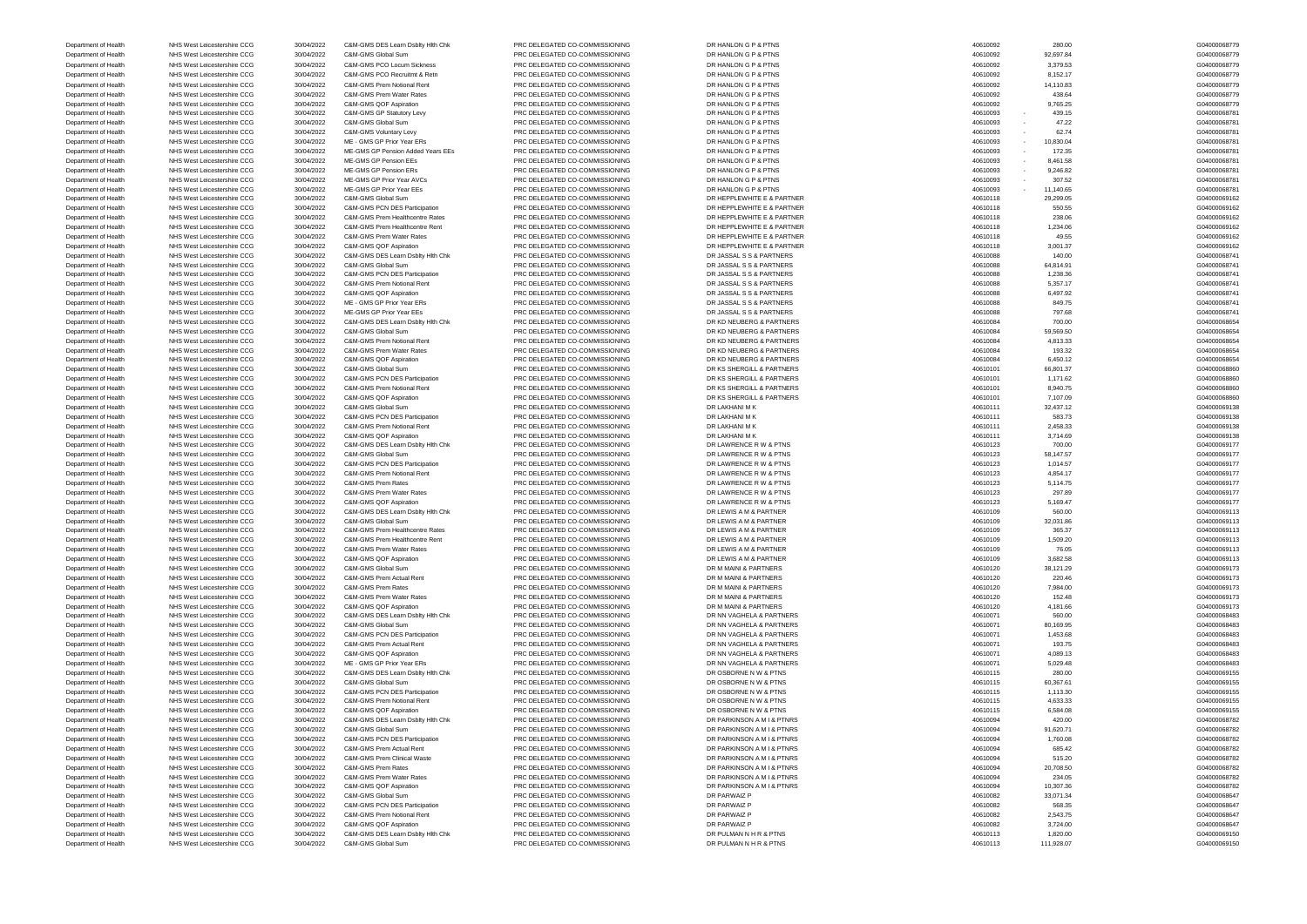Department of Health NHS West Leicestershire CCG 30/04/2022 C&M-GMS Global Sum PRC DELEGATED CO-COMMISSIONING DR PULMAN N H R & PTNS 40610113 40610113 111,928.07

Department of Health NHS West Leicestershire CCG 30/04/2022 C&M-GMS DES Learn Dsblty Hlth Chk PRC DELEGATED CO-COMMISSIONING DR HANLON G P & PTNS 40610092 40610092 280.00 280.00 C04000068779 Department of Health NHS West Leicestershire CCG 30/04/2022 C&M-GMS Global Sum PRC DELEGATED CO-COMMISSIONING DR HANLON G P & PTNS 40610 Department of Health NHS West Leicestershire CCG 30/04/2022 C&M-GMS PCO Locum Sickness PRC DELEGATED CO-COMMISSIONING DR HANLON G P & PTNS 40610092 40610092 3,379.53 379.53 G04000068779 Department of Health NHS West Leicestershire CCG 30/04/2022 C&M-GMS PCO Recruitmt & Retn PRC DELEGATED CO-COMMISSIONING DR HANLON G P & PTNS 40610092 8,152.17 40610092 8,152.17 600000068779 Department of Health NHS West Leicestershire CCG 30/04/2022 C&M-GMS Prem Notional Rent PRC DELEGATED CO-COMMISSIONING DR HANLON G P & PTNS 40610092 14,110.83 40610092 14,110.83 G04000068779 Department of Health NHS West Leicestershire CCG 30/04/2022 C&M-GMS Prem Water Rates PRC DELEGATED CO-COMMISSIONING DR HANLON G P & PTNS 40610092 438.64 40610092 438.64 604000068779 Department of Health NHS West Leicestershire CCG 30/04/2022 C&M-GMS QOF Aspiration PRC DELEGATED CO-COMMISSIONING DR HANLON G P & PTNS 40610092 40610092 9,765.25 9,765.25 G04000068779 Department of Health NHS West Leicestershire CCG 30/04/2022 C&M-GMS GP Statutory Levy PRC DELEGATED CO-COMMISSIONING DR HANLON G P & PTNS 40610093 - 439.15 40610093 - 439.15 G04000068781 Department of Health NHS West Leicestershire CCG 30/04/2022 C&M-GMS Global Sum PRC DELEGATED CO-COMMISSIONING DR HANLON G P & PTNS 406100 Department of Health NHS West Leicestershire CCG 30/04/2022 C&M-GMS Voluntary Levy PRC DELEGATED CO-COMMISSIONING DR HANLON G P & PTNS 40610093 - 62.74 63.74 G04000068781 Department of Health NHS West Leicestershire CCG 30/04/2022 ME - GMS GP Prior Year ERs PRC DELEGATED CO-COMMISSIONING DR HANLON G P & PTNS 40610093 - 10,830.04 40610093 - 10,830.04 G04000068781 Department of Health NHS West Leicestershire CCG 30/04/2022 ME-GMS GP Pension Added Years EEs PRC DELEGATED CO-COMMISSIONING DR HANLON G P & PTNS 40610093 - 172.35 40610093 - 172.35 G04000068781 Department of Health NHS West Leicestershire CCG 30/04/2022 ME-GMS GP Pension EEs PRC DELEGATED CO-COMMISSIONING DR HANLON G P & PTNS 406100 Department of Health NHS West Leicestershire CCG 30/04/2022 ME-GMS GP Pension ERs PRC DELEGATED CO-COMMISSIONING DR HANLON G P & PTNS 40610093 - 9,246.82 40610093 - 9,246.82 G04000068781 Department of Health NHS West Leicestershire CCG 30/04/2022 ME-GMS GP Prior Year AVCs PRC DELEGATED CO-COMMISSIONING DR HANLON G P & PTNS 40610093 - 307.52 40610093 - 307.52 G04000068781 Department of Health NHS West Leicestershire CCG 30/04/2022 ME-GMS GP Prior Year EEs PRC DELEGATED CO-COMMISSIONING DR HANLON G P & PTNS 40610093 - 11,140.65 40610093 - 11,140.65 G04000068781 Department of Health NHS West Leicestershire CCG 30/04/2022 C&M-GMS Global Sum PRC DELEGATED CO-COMMISSIONING DR HEPPLEWHITE E & PARTNER 40610118 40610118 29,299.05 40610118 29,299.05 G04000069162 Department of Health NHS West Leicestershire CCG 30/04/2022 C&M-GMS PCN DES Participation PRC DELEGATED CO-COMMISSIONING DR HEPPLEWHITE E & PARTNER 40610118 40610118 550.55 50.55 50.55 604000009162 Department of Health NHS West Leicestershire CCG 30/04/2022 C&M-GMS Prem Healthcentre Rates PRC DELEGATED CO-COMMISSIONING DR HEPPLEWHITE E & PARTNER 40610118 40610118 238.06 40000069162 Department of Health NHS West Leicestershire CCG 30/04/2022 C&M-GMS Prem Healthcentre Rent PRC DELEGATED CO-COMMISSIONING DR HEPPLEWHITE E & PARTNER 40610118 40610118 1,234.06 1,234.06 504000069162 Department of Health NHS West Leicestershire CCG 30/04/2022 C&M-GMS Prem Water Rates PRC DELEGATED CO-COMMISSIONING DR HEPPLEWHITE E & PARTNER 4001118 40610118 49.55 49.55 49.55 604000009162 Department of Health NHS West Leicestershire CCG 30/04/2022 C&M-GMS QOF Aspiration PRC DELEGATED CO-COMMISSIONING DR HEPPLEWHITE E & PARTNER 40610118 40610118 3,001.37 40610118 3,001.37 G04000069162 Department of Health NHS West Leicestershire CCG 30/04/2022 C&M-GMS DES Learn Dsblty Hlth Chk PRC DELEGATED CO-COMMISSIONING DR JASSAL S S & PARTNERS 406100 Department of Health NHS West Leicestershire CCG 30/04/2022 C&M-GMS Global Sum PRC DELEGATED CO-COMMISSIONING DR JASSAL S S & PARTNERS 40610088 44,814.91 664,814.91 664,814.91 GO4000068741 Department of Health NHS West Leicestershire CCG 30/04/2022 C&M-GMS PCN DES Participation PRC DELEGATED CO-COMMISSIONING DR JASSAL S S & PARTNERS 40610088 41,238.36 1,238.36 1,238.36 40610088741 Department of Health NHS West Leicestershire CCG 30/04/2022 C&M-GMS Prem Notional Rent PRC DELEGATED CO-COMMISSIONING DR JASSAL S S & PARTNERS 40610088 491010088 5,357.17 40610088741 Department of Health NHS West Leicestershire CCG 30/04/2022 C&M-GMS QOF Aspiration PRC DELEGATED CO-COMMISSIONING DR JASSAL S S & PARTNERS 40610088 41 40610088 6,497.92 604000068741 Department of Health NHS West Leicestershire CCG 30/04/2022 ME - GMS GP Prior Year ERs PRC DELEGATED CO-COMMISSIONING DR JASSAL S S & PARTNERS 40610088 49.75 40610088 849.75 604000068741 Department of Health NHS West Leicestershire CCG 30/04/2022 ME-GMS GP Prior Year EEs PRC DELEGATED CO-COMMISSIONING DR JASSAL S S & PARTNERS 40610088 491 40610088 797.68 797.68 797.68 604000068741 Department of Health NHS West Leicestershire CCG 30/04/2022 C&M-GMS DES Learn Dsblty Hlth Chk PRC DELEGATED CO-COMMISSIONING DR KD NEUBERG & PARTNERS 40610084 40610084 700.00 700.00 700.00 604000068654 Department of Health NHS West Leicestershire CCG 30/04/2022 C&M-GMS Global Sum PRC DELEGATED CO-COMMISSIONING DR KD NEUBERG & PARTNERS 40610084 40610084 59,569.50 509000068654 Department of Health NHS West Leicestershire CCG 30/04/2022 C&M-GMS Prem Notional Rent PRC DELEGATED CO-COMMISSIONING DR KD NEUBERG & PARTNERS 40610084 4,813.33 40610084 4,813.33 G04000068654 Department of Health NHS West Leicestershire CCG 30/04/2022 C&M-GMS Prem Water Rates PRC DELEGATED CO-COMMISSIONING DR KD NEUBERG & PARTNERS 406100<br>Department of Health NHS West Leicestershire CCG 30/04/2022 C&M-GMS QOF As Department of Health NHS West Leicestershire CCG 30/04/2022 C&M-GMS QOF Aspiration PRC DELEGATED CO-COMMISSIONING DR KD NEUBERG & PARTNERS 40610084 40610084 6,450.12 604000068654 Department of Health NHS West Leicestershire CCG 30/04/2022 C&M-GMS Global Sum PRC DELEGATED CO-COMMISSIONING DR KS SHERGILL & PARTNERS 40610101 40610101 66,801.37 604000068860 Department of Health NHS West Leicestershire CCG 30/04/2022 C&M-GMS PCN DES Participation PRC DELEGATED CO-COMMISSIONING DR KS SHERGILL & PARTNERS 40610101 40610101 1,171.62 40610101 1,171.62 504000068860 Department of Health NHS West Leicestershire CCG 30/04/2022 C&M-GMS Prem Notional Rent PRC DELEGATED CO-COMMISSIONING DR KS SHERGILL & PARTNERS 40610101 40610101 8,940.75 40610101 8,940.75 6040000088860 Department of Health NHS West Leicestershire CCG 30/04/2022 C&M-GMS QOF Aspiration PRC DELEGATED CO-COMMISSIONING DR KS SHERGILL & PARTNERS 406101 Department of Health NHS West Leicestershire CCG 30/04/2022 C&M-GMS Global Sum PRC DELEGATED CO-COMMISSIONING DR LAKHANI M K 4061011 40610111 432,437.12 40610111 32,437.12 604000069138 Department of Health NHS West Leicestershire CCG 30/04/2022 C&M-GMS PCN DES Participation PRC DELEGATED CO-COMMISSIONING DR LAKHANI M K 4061011 40610111 583.73 563.73 6604000069138 Department of Health NHS West Leicestershire CCG 30/04/2022 C&M-GMS Prem Notional Rent PRC DELEGATED CO-COMMISSIONING DR LAKHANI M K 4061011 40610111 2,458.33 4061011 2,458.33 604000069138 Department of Health NHS West Leicestershire CCG 30/04/2022 C&M-GMS QOF Aspiration PRC DELEGATED CO-COMMISSIONING DR LAKHANI M K 4061011 40610111 3,714.69 40610111 3,714.69 G04000069138 Department of Health NHS West Leicestershire CCG 30/04/2022 C&M-GMS DES Learn Dsblty Hlth Chk PRC DELEGATED CO-COMMISSIONING DR LAWRENCE R W & PTNS 40610123 700.00 700.00 700.00 700.00 700.00 700.00 604000069177 Department of Health NHS West Leicestershire CCG 30/04/2022 C&M-GMS Global Sum PRC DELEGATED CO-COMMISSIONING DR LAWRENCE R W & PTNS 406101 Department of Health NHS West Leicestershire CCG 30/04/2022 C&M-GMS PCN DES Participation PRC DELEGATED CO-COMMISSIONING DR LAWRENCE R W & PTNS 40610123 40610123 1,014.57 1,014.57 604000069177 Department of Health NHS West Leicestershire CCG 30/04/2022 C&M-GMS Prem Notional Rent PRC DELEGATED CO-COMMISSIONING DR LAWRENCE R W & PTNS 40610 Department of Health NHS West Leicestershire CCG 30/04/2022 C&M-GMS Prem Rates PRC DELEGATED CO-COMMISSIONING DR LAWRENCE R W & PTNS 40610123 40610123 5,114.75 5,114.75 604000069177 Department of Health NHS West Leicestershire CCG 30/04/2022 C&M-GMS Prem Water Rates PRC DELEGATED CO-COMMISSIONING DR LAWRENCE R W & PTNS 40610123 40610123 297.89 297.89 297.89 G04000069177 Department of Health NHS West Leicestershire CCG 30/04/2022 C&M-GMS QOF Aspiration PRC DELEGATED CO-COMMISSIONING DR LAWRENCE R W & PTNS 40610123 5,169.47 55,169.47 5,169.47 604000069177 Department of Health NHS West Leicestershire CCG 30/04/2022 C&M-GMS DES Learn Dsblty Hlth Chk PRC DELEGATED CO-COMMISSIONING DR LEWIS A M & PARTNER 406101 ADS101 406101<br>Department of Health NHS West Leicestershire CCG 30/0 Department of Health NHS West Leicestershire CCG 30/04/2022 C&M-GMS Global Sum PRC DELEGATED CO-COMMISSIONING DR LEWIS A M & PARTNER 406101 Department of Health NHS West Leicestershire CCG 30/04/2022 C&M-GMS Prem Healthcentre Rates PRC DELEGATED CO-COMMISSIONING DR LEWIS A M & PARTNER 40610109 40610109 365.37 365.37 G04000069113 Department of Health NHS West Leicestershire CCG 30/04/2022 C&M-GMS Prem Healthcentre Rent PRC DELEGATED CO-COMMISSIONING DR LEWIS A M & PARTNER 40610109 40610109 1,509.20 1,509.20 604000069113 Department of Health NHS West Leicestershire CCG 30/04/2022 C&M-GMS Prem Water Rates PRC DELEGATED CO-COMMISSIONING DR LEWIS A M & PARTNER 40610109 76.05 76.05 76.05 76.05 604000069113 Department of Health NHS West Leicestershire CCG 30/04/2022 C&M-GMS QOF Aspiration PRC DELEGATED CO-COMMISSIONING DR LEWIS A M & PARTNER 40610109 3,682.58 40610109 3,682.58 G04000069113 Department of Health NHS West Leicestershire CCG 30/04/2022 C&M-GMS Global Sum PRC DELEGATED CO-COMMISSIONING DR M MAINI & PARTNERS 40610120 40610120 38,121.29 38,121.29 G04000069173 Department of Health NHS West Leicestershire CCG 30/04/2022 C&M-GMS Prem Actual Rent PRC DELEGATED CO-COMMISSIONING DR M MAINI & PARTNERS 40610120 40610120 220.46 40610120 220.46 C04000069173 Department of Health NHS West Leicestershire CCG 30/04/2022 C&M-GMS Prem Rates PRC DELEGATED CO-COMMISSIONING DR M MAINI & PARTNERS 40610120 40610120 7,984.00 7,984.00 604000069173 Department of Health NHS West Leicestershire CCG 30/04/2022 C&M-GMS Prem Water Rates PRC DELEGATED CO-COMMISSIONING DR M MAINI & PARTNERS 40610120 40610120 152.48 152.48 G04000069173 Department of Health NHS West Leicestershire CCG 30/04/2022 C&M-GMS QOF Aspiration PRC DELEGATED CO-COMMISSIONING DR M MAINI & PARTNERS 40610120 4,181.66 40610120 4,181.66 604000069173 Department of Health NHS West Leicestershire CCG 30/04/2022 C&M-GMS DES Learn Dsblty Hlth Chk PRC DELEGATED CO-COMMISSIONING DR NN VAGHELA & PARTNERS 406100 Department of Health NHS West Leicestershire CCG 30/04/2022 C&M-GMS Global Sum PRC DELEGATED CO-COMMISSIONING DR NN VAGHELA & PARTNERS 40610071 40610071 80,169.95 406100068483 Department of Health NHS West Leicestershire CCG 30/04/2022 C&M-GMS PCN DES Participation PRC DELEGATED CO-COMMISSIONING DR NN VAGHELA & PARTNERS 40610071 40610071 1,453.68 406100068483 Department of Health NHS West Leicestershire CCG 30/04/2022 C&M-GMS Prem Actual Rent PRC DELEGATED CO-COMMISSIONING DR NN VAGHELA & PARTNERS 40610071 40610071 193.75 40610071 193.75 604000068483 Department of Health NHS West Leicestershire CCG 30/04/2022 C&M-GMS QOF Aspiration PRC DELEGATED CO-COMMISSIONING DR NN VAGHELA & PARTNERS 40610071 4,089.13 4,089.13 4,089.13 G04000068483 Department of Health NHS West Leicestershire CCG 30/04/2022 ME - GMS GP Prior Year ERs PRC DELEGATED CO-COMMISSIONING DR NN VAGHELA & PARTNERS 40610071 40610071 5,029.48 5,029.48 G04000068483 Department of Health NHS West Leicestershire CCG 30/04/2022 C&M-GMS DES Learn Dsblty Hlth Chk PRC DELEGATED CO-COMMISSIONING DR OSBORNE N W & PTNS 40610115 40610115 280.00 40010069155 Department of Health NHS West Leicestershire CCG 30/04/2022 C&M-GMS Global Sum PRC DELEGATED CO-COMMISSIONING DR OSBORNE N W & PTNS 40610115 40610115 60,367.61 604000069155 Department of Health NHS West Leicestershire CCG 30/04/2022 C&M-GMS PCN DES Participation PRC DELEGATED CO-COMMISSIONING DR OSBORNE N W & PTNS 40610115 40610115 1,113.30 40610115 1,113.30 504000069155 Department of Health NHS West Leicestershire CCG 30/04/2022 C&M-GMS Prem Notional Rent PRC DELEGATED CO-COMMISSIONING DR OSBORNE N W & PTNS 40610115 4,633.33 40610115 4,633.33 G04000069155 Department of Health NHS West Leicestershire CCG 30/04/2022 C&M-GMS QOF Aspiration PRC DELEGATED CO-COMMISSIONING DR OSBORNE N W & PTNS 406101 Department of Health NHS West Leicestershire CCG 30/04/2022 C&M-GMS DES Learn Dsblty Hlth Chk PRC DELEGATED CO-COMMISSIONING DR PARKINSON A M I & PTNRS 406100 Department of Health NHS West Leicestershire CCG 30/04/2022 C&M-GMS Global Sum PRC DELEGATED CO-COMMISSIONING DR PARKINSON A M I & PTNRS 40610094 91,620.71 91,620.71 91,620.71 G04000068782 Department of Health NHS West Leicestershire CCG 30/04/2022 C&M-GMS PCN DES Participation PRC DELEGATED CO-COMMISSIONING DR PARKINSON A M I & PTNRS 40610094 40610094 1,760.08 1,760.08 604000068782 Department of Health NHS West Leicestershire CCG 30/04/2022 C&M-GMS Prem Actual Rent PRC DELEGATED CO-COMMISSIONING DR PARKINSON A M I & PTNRS 406100 Department of Health NHS West Leicestershire CCG 30/04/2022 C&M-GMS Prem Clinical Waste PRC DELEGATED CO-COMMISSIONING DR PARKINSON A M I & PTNRS 406100 Department of Health NHS West Leicestershire CCG 30/04/2022 C&M-GMS Prem Rates PRC DELEGATED CO-COMMISSIONING DR PARKINSON A M I & PTNRS 40610094 40610094 20,708.50 406000068782 Department of Health NHS West Leicestershire CCG 30/04/2022 C&M-GMS Prem Water Rates PRC DELEGATED CO-COMMISSIONING DR PARKINSON A M I & PTNRS 40610094 40610094 234.05 234.05 G04000068782 Department of Health NHS West Leicestershire CCG 30/04/2022 C&M-GMS QOF Aspiration PRC DELEGATED CO-COMMISSIONING DR PARKINSON A M I & PTNRS 40610094 40610094 10,307.36 10,307.36 604000068782 Department of Health NHS West Leicestershire CCG 30/04/2022 C&M-GMS Global Sum PRC DELEGATED CO-COMMISSIONING DR PARWAIZ P 40610082 40610082 33,071.34 33,071.34 G04000068647 Department of Health NHS West Leicestershire CCG 30/04/2022 C&M-GMS PCN DES Participation PRC DELEGATED CO-COMMISSIONING DR PARWAIZ P 40610082 40610082 568.35 568.35 G04000068647 Department of Health NHS West Leicestershire CCG 30/04/2022 C&M-GMS Prem Notional Rent PRC DELEGATED CO-COMMISSIONING DR PARWAIZ P 40610082 40610082 2,543.75 40610082 2,543.75 G04000068647 Department of Health NHS West Leicestershire CCG 30/04/2022 C&M-GMS QOF Aspiration PRC DELEGATED CO-COMMISSIONING DR PARWAIZ P 40610082 40610082 3,724.00 3,724.00 G04000068647 Department of Health NHS West Leicestershire CCG 30/04/2022 C&M-GMS DES Learn Dsblty Hlth Chk PRC DELEGATED CO-COMMISSIONING DR PULMAN N H R & PTNS 40610

| 304000068779                     |
|----------------------------------|
| G04000068779                     |
| G04000068779                     |
| G04000068779                     |
| G04000068779<br>G040000687<br>79 |
| G040000687<br>79                 |
| G04000068781                     |
| G04000068781                     |
| G04000068781                     |
| G04000068781                     |
| G04000068781                     |
| G04000068781                     |
| G04000068781<br>G04000068781     |
| G04000068781                     |
| G04000069162                     |
| G04000069162                     |
| G04000069162                     |
| G04000069162                     |
| G04000069162                     |
| G04000069162                     |
| G04000068741<br>G04000068741     |
| G04000068741                     |
| G04000068741                     |
| G04000068741                     |
| G04000068741                     |
| G04000068741                     |
| G04000068654                     |
| G04000068654                     |
| G04000068654                     |
| G04000068654                     |
| G04000068654<br>G04000068860     |
| G04000068860                     |
| G04000068860                     |
| G04000068860                     |
| G04000069138                     |
| G04000069138                     |
| G04000069138                     |
|                                  |
| G04000069138                     |
| G0400006917<br>7                 |
| G0400006917<br>7                 |
| G04000069177<br>G0400006917      |
| 7<br>G0400006917<br>7            |
| G0400006917<br>7                 |
| G0400006917<br>7                 |
| G04000069113                     |
| G04000069113                     |
| G04000069113                     |
| G04000069113                     |
| G04000069113<br>G04000069113     |
| G04000069173                     |
| G04000069173                     |
| G04000069173                     |
| G04000069173                     |
| G04000069173                     |
| G04000068483                     |
| G04000068483                     |
| G04000068483                     |
| G04000068483<br>G04000068483     |
| G04000068483                     |
| G04000069155                     |
| G04000069155                     |
| G04000069155                     |
| G04000069155                     |
| G04000069155                     |
| G04000068782<br>G04000068782     |
| G04000068782                     |
| G04000068782                     |
| G04000068782                     |
| G04000068782                     |
| G04000068782                     |
| G04000068782                     |
| G04000068647                     |
| G04000068647<br>G04000068647     |
| G04000068647                     |
| G04000069150<br>G04000069150     |

| 092 | 280.00               |
|-----|----------------------|
| 092 | 92,697.84            |
| 092 | 3,379.53             |
| 092 | 8,152.17             |
| 092 | 14,110.83            |
| 092 | 438.64               |
| 092 | 9,765.25             |
| 093 | 439.15               |
|     | 47.22                |
| 093 |                      |
| 093 | 62.74                |
| 093 | 10,830.04            |
| 093 | 172.35               |
| 093 | 8,461.58             |
| 093 | 9,246.82             |
| 093 | 307.52               |
| 093 | 11,140.65            |
| 118 | 29,299.05            |
| 118 | 550.55               |
| 118 | 238.06               |
| 118 | 1,234.06             |
| 118 | 49.55                |
| 118 | 3,001.37             |
| 088 | 140.00               |
| 088 | 64,814.91            |
| 088 | 1,238.36             |
| 088 | 5,357.17             |
| 088 | 6,497.92             |
|     | 849.75               |
| 088 |                      |
| 088 | 797.68               |
| 084 | 700.00               |
| 084 | 59,569.50            |
| 084 | 4,813.33             |
| 084 | 193.32               |
| 084 | 6,450.12             |
| 101 | 66,801.37            |
| 101 | 1,171.62             |
| 101 | 8,940.75             |
| 101 | 7,107.09             |
| 111 | 32,437.12            |
| 111 | 583.73               |
| 111 | 2,458.33             |
| 111 | 3,714.69             |
| 123 | 700.00               |
| 123 | 58,147.57            |
| 123 | 1,014.57             |
| 123 | 4,854.17             |
| 123 | 5,114.75             |
| 123 | 297.89               |
| 123 |                      |
|     | 5,169.47             |
| 109 | 560.00               |
| 109 | 32,031.86            |
| 109 | 365.37               |
| 109 | 1,509.20             |
| 109 | 76.05                |
| 109 | 3,682.58             |
| 120 | 38,121.29            |
| 120 | 220.46               |
| 120 | 7,984.00             |
| 120 | 152.48               |
| 120 | 4,181.66             |
| 071 | 560.00               |
| 071 | 80,169.95            |
| 071 | 1,453.68             |
| 071 | 193.75               |
| 071 | 4,089.13             |
| 071 | 5,029.48             |
| 115 | 280.00               |
| 115 | 60,367.61            |
| 115 | 1,113.30             |
| 115 |                      |
| 115 | 4,633.33<br>6,584.08 |
|     |                      |
| 094 | 420.00               |
| 094 | 91,620.71            |
| 094 | 1,760.08             |
| 094 | 685.42               |
| 094 | 515.20               |
| 094 | 20,708.50            |
| 094 | 234.05               |
| 094 | 10,307.36            |
| 082 | 33,071.34            |
| 082 | 568.35               |
| 082 | 2,543.75             |
| 082 | 3,724.00             |
| 113 | 1,820.00             |
|     |                      |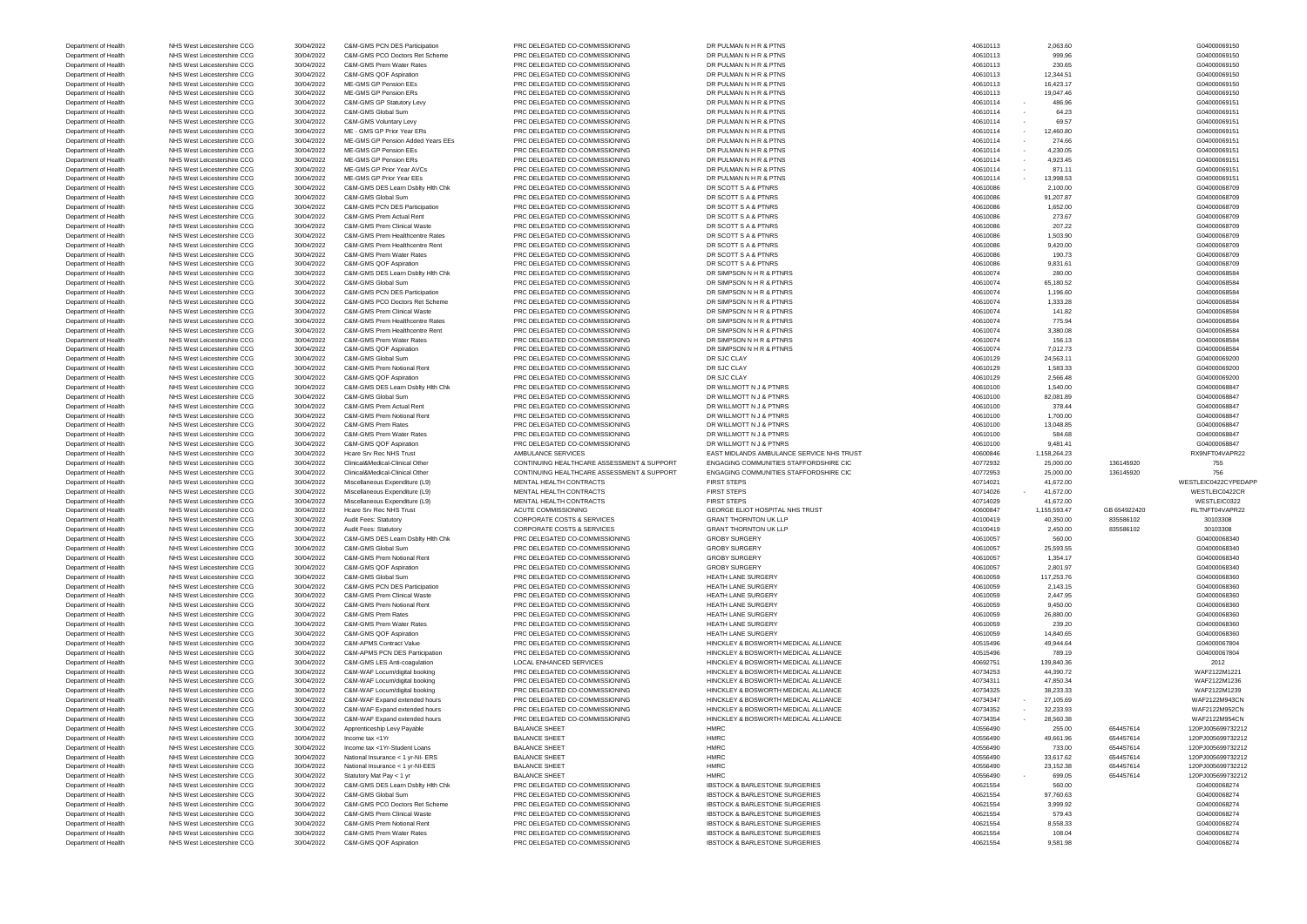| Department of Health                         | NHS West Leicestershire CCG | 30/04/2022               | C&M-GMS PCN DES Participation          | PRC DELEGATED CO-COMMISSIONING                                   | DR PULMAN N H R & PTNS                                                                 | 40610113             | 2,063.60           |              | G04000069150                 |
|----------------------------------------------|-----------------------------|--------------------------|----------------------------------------|------------------------------------------------------------------|----------------------------------------------------------------------------------------|----------------------|--------------------|--------------|------------------------------|
| Department of Health                         | NHS West Leicestershire CCG | 30/04/2022               | C&M-GMS PCO Doctors Ret Scheme         | PRC DELEGATED CO-COMMISSIONING                                   | DR PULMAN N H R & PTNS                                                                 | 40610113             | 999.96             |              | G04000069150                 |
| Department of Health                         | NHS West Leicestershire CCG | 30/04/2022               | C&M-GMS Prem Water Rates               | PRC DELEGATED CO-COMMISSIONING                                   | DR PULMAN N H R & PTNS                                                                 | 40610113             | 230.65             |              | G04000069150                 |
| Department of Health                         | NHS West Leicestershire CCG |                          | C&M-GMS QOF Aspiration                 |                                                                  |                                                                                        | 40610113             | 12,344.51          |              |                              |
|                                              |                             | 30/04/2022               |                                        | PRC DELEGATED CO-COMMISSIONING                                   | DR PULMAN N H R & PTNS                                                                 |                      |                    |              | G04000069150                 |
| Department of Health                         | NHS West Leicestershire CCG | 30/04/2022               | ME-GMS GP Pension EEs                  | PRC DELEGATED CO-COMMISSIONING                                   | DR PULMAN N H R & PTNS                                                                 | 40610113             | 16,423.17          |              | G04000069150                 |
| Department of Health                         | NHS West Leicestershire CCG | 30/04/2022               | ME-GMS GP Pension ERs                  | PRC DELEGATED CO-COMMISSIONING                                   | DR PULMAN N H R & PTNS                                                                 | 40610113             | 19,047.46          |              | G04000069150                 |
| Department of Health                         | NHS West Leicestershire CCG | 30/04/2022               | C&M-GMS GP Statutory Levy              | PRC DELEGATED CO-COMMISSIONING                                   | DR PULMAN N H R & PTNS                                                                 | 40610114             | 486.96             |              | G04000069151                 |
| Department of Health                         | NHS West Leicestershire CCG | 30/04/2022               | C&M-GMS Global Sum                     | PRC DELEGATED CO-COMMISSIONING                                   | DR PULMAN N H R & PTNS                                                                 | 40610114             | 64.23              |              | G04000069151                 |
| Department of Health                         | NHS West Leicestershire CCG | 30/04/2022               | C&M-GMS Voluntary Levy                 | PRC DELEGATED CO-COMMISSIONING                                   | DR PULMAN N H R & PTNS                                                                 | 40610114             | 69.57              |              | G04000069151                 |
| Department of Health                         | NHS West Leicestershire CCG | 30/04/2022               | ME - GMS GP Prior Year ERs             | PRC DELEGATED CO-COMMISSIONING                                   | DR PULMAN N H R & PTNS                                                                 | 40610114             | 12,460.80          |              | G04000069151                 |
|                                              |                             |                          |                                        |                                                                  |                                                                                        |                      |                    |              |                              |
| Department of Health                         | NHS West Leicestershire CCG | 30/04/2022               | ME-GMS GP Pension Added Years EEs      | PRC DELEGATED CO-COMMISSIONING                                   | DR PULMAN N H R & PTNS                                                                 | 40610114             | 274.66             |              | G04000069151                 |
| Department of Health                         | NHS West Leicestershire CCG | 30/04/2022               | ME-GMS GP Pension EEs                  | PRC DELEGATED CO-COMMISSIONING                                   | DR PULMAN N H R & PTNS                                                                 | 40610114             | 4,230.05           |              | G04000069151                 |
| Department of Health                         | NHS West Leicestershire CCG | 30/04/2022               | ME-GMS GP Pension ERs                  | PRC DELEGATED CO-COMMISSIONING                                   | DR PULMAN N H R & PTNS                                                                 | 40610114             | 4,923.45           |              | G04000069151                 |
| Department of Health                         | NHS West Leicestershire CCG | 30/04/2022               | ME-GMS GP Prior Year AVCs              | PRC DELEGATED CO-COMMISSIONING                                   | DR PULMAN N H R & PTNS                                                                 | 40610114             | 871.11             |              | G04000069151                 |
| Department of Health                         | NHS West Leicestershire CCG | 30/04/2022               | ME-GMS GP Prior Year EEs               | PRC DELEGATED CO-COMMISSIONING                                   | DR PULMAN N H R & PTNS                                                                 | 40610114             | 13,998.53          |              | G04000069151                 |
| Department of Health                         | NHS West Leicestershire CCG | 30/04/2022               | C&M-GMS DES Learn Dsblty Hith Chk      | PRC DELEGATED CO-COMMISSIONING                                   | DR SCOTT S A & PTNRS                                                                   | 40610086             | 2,100.00           |              | G04000068709                 |
|                                              |                             |                          |                                        | PRC DELEGATED CO-COMMISSIONING                                   |                                                                                        |                      |                    |              |                              |
| Department of Health                         | NHS West Leicestershire CCG | 30/04/2022               | C&M-GMS Global Sum                     |                                                                  | DR SCOTT S A & PTNRS                                                                   | 40610086             | 91,207.87          |              | G04000068709                 |
| Department of Health                         | NHS West Leicestershire CCG | 30/04/2022               | C&M-GMS PCN DES Participation          | PRC DELEGATED CO-COMMISSIONING                                   | DR SCOTT S A & PTNRS                                                                   | 40610086             | 1,652.00           |              | G04000068709                 |
| Department of Health                         | NHS West Leicestershire CCG | 30/04/2022               | C&M-GMS Prem Actual Rent               | PRC DELEGATED CO-COMMISSIONING                                   | DR SCOTT S A & PTNRS                                                                   | 40610086             | 273.67             |              | G04000068709                 |
| Department of Health                         | NHS West Leicestershire CCG | 30/04/2022               | C&M-GMS Prem Clinical Waste            | PRC DELEGATED CO-COMMISSIONING                                   | DR SCOTT S A & PTNRS                                                                   | 40610086             | 207.22             |              | G04000068709                 |
| Department of Health                         | NHS West Leicestershire CCG | 30/04/2022               | C&M-GMS Prem Healthcentre Rates        | PRC DELEGATED CO-COMMISSIONING                                   | DR SCOTT S A & PTNRS                                                                   | 40610086             | 1,503.90           |              | G04000068709                 |
| Department of Health                         | NHS West Leicestershire CCG | 30/04/2022               | C&M-GMS Prem Healthcentre Rent         | PRC DELEGATED CO-COMMISSIONING                                   | DR SCOTT S A & PTNRS                                                                   | 40610086             | 9,420.00           |              | G04000068709                 |
|                                              | NHS West Leicestershire CCG |                          | C&M-GMS Prem Water Rates               | PRC DELEGATED CO-COMMISSIONING                                   | DR SCOTT S A & PTNRS                                                                   | 40610086             | 190.73             |              |                              |
| Department of Health                         |                             | 30/04/2022               |                                        |                                                                  |                                                                                        |                      |                    |              | G04000068709                 |
| Department of Health                         | NHS West Leicestershire CCG | 30/04/2022               | C&M-GMS QOF Aspiration                 | PRC DELEGATED CO-COMMISSIONING                                   | DR SCOTT S A & PTNRS                                                                   | 40610086             | 9,831.61           |              | G04000068709                 |
| Department of Health                         | NHS West Leicestershire CCG | 30/04/2022               | C&M-GMS DES Learn Dsblty Hith Chk      | PRC DELEGATED CO-COMMISSIONING                                   | DR SIMPSON N H R & PTNRS                                                               | 40610074             | 280.00             |              | G04000068584                 |
| Department of Health                         | NHS West Leicestershire CCG | 30/04/2022               | C&M-GMS Global Sum                     | PRC DELEGATED CO-COMMISSIONING                                   | DR SIMPSON N H R & PTNRS                                                               | 40610074             | 65,180.52          |              | G04000068584                 |
| Department of Health                         | NHS West Leicestershire CCG | 30/04/2022               | C&M-GMS PCN DES Participation          | PRC DELEGATED CO-COMMISSIONING                                   | DR SIMPSON N H R & PTNRS                                                               | 40610074             | 1,196.60           |              | G04000068584                 |
| Department of Health                         | NHS West Leicestershire CCG | 30/04/2022               | C&M-GMS PCO Doctors Ret Scheme         | PRC DELEGATED CO-COMMISSIONING                                   | DR SIMPSON N H R & PTNRS                                                               | 40610074             | 1,333.28           |              | G04000068584                 |
| Department of Health                         | NHS West Leicestershire CCG | 30/04/2022               | C&M-GMS Prem Clinical Waste            | PRC DELEGATED CO-COMMISSIONING                                   | DR SIMPSON N H R & PTNRS                                                               | 40610074             | 141.82             |              | G04000068584                 |
|                                              |                             |                          |                                        | PRC DELEGATED CO-COMMISSIONING                                   |                                                                                        |                      |                    |              |                              |
| Department of Health                         | NHS West Leicestershire CCG | 30/04/2022               | C&M-GMS Prem Healthcentre Rates        |                                                                  | DR SIMPSON N H R & PTNRS                                                               | 40610074             | 775.94             |              | G04000068584                 |
| Department of Health                         | NHS West Leicestershire CCG | 30/04/2022               | C&M-GMS Prem Healthcentre Rent         | PRC DELEGATED CO-COMMISSIONING                                   | DR SIMPSON N H R & PTNRS                                                               | 40610074             | 3,380.08           |              | G04000068584                 |
| Department of Health                         | NHS West Leicestershire CCG | 30/04/2022               | C&M-GMS Prem Water Rates               | PRC DELEGATED CO-COMMISSIONING                                   | DR SIMPSON N H R & PTNRS                                                               | 40610074             | 156.13             |              | G04000068584                 |
| Department of Health                         | NHS West Leicestershire CCG | 30/04/2022               | C&M-GMS QOF Aspiration                 | PRC DELEGATED CO-COMMISSIONING                                   | DR SIMPSON N H R & PTNRS                                                               | 40610074             | 7,012.73           |              | G04000068584                 |
| Department of Health                         | NHS West Leicestershire CCG | 30/04/2022               | C&M-GMS Global Sum                     | PRC DELEGATED CO-COMMISSIONING                                   | DR SJC CLAY                                                                            | 40610129             | 24,563.11          |              | G04000069200                 |
| Department of Health                         | NHS West Leicestershire CCG | 30/04/2022               | C&M-GMS Prem Notional Rent             | PRC DELEGATED CO-COMMISSIONING                                   | DR SJC CLAY                                                                            | 40610129             | 1,583.33           |              | G04000069200                 |
|                                              |                             |                          |                                        |                                                                  |                                                                                        |                      |                    |              |                              |
| Department of Health                         | NHS West Leicestershire CCG | 30/04/2022               | C&M-GMS QOF Aspiration                 | PRC DELEGATED CO-COMMISSIONING                                   | DR SJC CLAY                                                                            | 40610129             | 2,566.48           |              | G04000069200                 |
| Department of Health                         | NHS West Leicestershire CCG | 30/04/2022               | C&M-GMS DES Learn Dsblty Hith Chk      | PRC DELEGATED CO-COMMISSIONING                                   | DR WILLMOTT N J & PTNRS                                                                | 40610100             | 1,540.00           |              | G04000068847                 |
| Department of Health                         | NHS West Leicestershire CCG | 30/04/2022               | C&M-GMS Global Sum                     | PRC DELEGATED CO-COMMISSIONING                                   | DR WILLMOTT N J & PTNRS                                                                | 40610100             | 82,081.89          |              | G04000068847                 |
| Department of Health                         | NHS West Leicestershire CCG | 30/04/2022               | C&M-GMS Prem Actual Rent               | PRC DELEGATED CO-COMMISSIONING                                   | DR WILLMOTT N J & PTNRS                                                                | 40610100             | 378.44             |              | G04000068847                 |
| Department of Health                         | NHS West Leicestershire CCG | 30/04/2022               | C&M-GMS Prem Notional Rent             | PRC DELEGATED CO-COMMISSIONING                                   | DR WILLMOTT N J & PTNRS                                                                | 40610100             | 1,700.00           |              | G04000068847                 |
| Department of Health                         | NHS West Leicestershire CCG | 30/04/2022               | <b>C&amp;M-GMS Prem Rates</b>          | PRC DELEGATED CO-COMMISSIONING                                   | DR WILLMOTT N J & PTNRS                                                                | 40610100             | 13,048.85          |              | G04000068847                 |
|                                              |                             |                          |                                        |                                                                  |                                                                                        |                      |                    |              | G04000068847                 |
|                                              |                             |                          |                                        |                                                                  |                                                                                        |                      |                    |              |                              |
| Department of Health                         | NHS West Leicestershire CCG | 30/04/2022               | C&M-GMS Prem Water Rates               | PRC DELEGATED CO-COMMISSIONING                                   | DR WILLMOTT N J & PTNRS                                                                | 40610100             | 584.68             |              |                              |
| Department of Health                         | NHS West Leicestershire CCG | 30/04/2022               | C&M-GMS QOF Aspiration                 | PRC DELEGATED CO-COMMISSIONING                                   | DR WILLMOTT N J & PTNRS                                                                | 40610100             | 9,481.41           |              | G04000068847                 |
| Department of Health                         | NHS West Leicestershire CCG | 30/04/2022               | Hcare Srv Rec NHS Trust                | AMBULANCE SERVICES                                               | EAST MIDLANDS AMBULANCE SERVICE NHS TRUST                                              | 40600846             | 1,158,264.23       |              | RX9NFT04VAPR22               |
| Department of Health                         | NHS West Leicestershire CCG | 30/04/2022               | Clinical&Medical-Clinical Other        | CONTINUING HEALTHCARE ASSESSMENT & SUPPORT                       | ENGAGING COMMUNITIES STAFFORDSHIRE CIC                                                 | 40772932             | 25,000.00          | 136145920    | 755                          |
| Department of Health                         | NHS West Leicestershire CCG | 30/04/2022               | Clinical&Medical-Clinical Other        | CONTINUING HEALTHCARE ASSESSMENT & SUPPORT                       | ENGAGING COMMUNITIES STAFFORDSHIRE CIC                                                 | 40772953             | 25,000.00          | 136145920    | 756                          |
|                                              |                             |                          |                                        |                                                                  |                                                                                        |                      |                    |              |                              |
| Department of Health                         | NHS West Leicestershire CCG | 30/04/2022               | Miscellaneous Expenditure (L9)         | MENTAL HEALTH CONTRACTS                                          | <b>FIRST STEPS</b>                                                                     | 40714021             | 41,672.00          |              | WESTLEIC0422CYPEDAPP         |
| Department of Health                         | NHS West Leicestershire CCG | 30/04/2022               | Miscellaneous Expenditure (L9)         | MENTAL HEALTH CONTRACTS                                          | <b>FIRST STEPS</b>                                                                     | 40714026             | 41,672.00          |              | WESTLEIC0422CR               |
| Department of Health                         | NHS West Leicestershire CCG | 30/04/2022               | Miscellaneous Expenditure (L9)         | MENTAL HEALTH CONTRACTS                                          | <b>FIRST STEPS</b>                                                                     | 40714029             | 41,672.00          |              | WESTLEIC0322                 |
| Department of Health                         | NHS West Leicestershire CCG | 30/04/2022               | Hcare Srv Rec NHS Trust                | <b>ACUTE COMMISSIONING</b>                                       | GEORGE ELIOT HOSPITAL NHS TRUST                                                        | 40600847             | 1,155,593.47       | GB 654922420 | RLTNFT04VAPR22               |
| Department of Health                         | NHS West Leicestershire CCG | 30/04/2022               | Audit Fees: Statutory                  | <b>CORPORATE COSTS &amp; SERVICES</b>                            | <b>GRANT THORNTON UK LLP</b>                                                           | 40100419             | 40,350.00          | 835586102    | 30103308                     |
| Department of Health                         | NHS West Leicestershire CCG | 30/04/2022               | Audit Fees: Statutory                  | <b>CORPORATE COSTS &amp; SERVICES</b>                            | <b>GRANT THORNTON UK LLP</b>                                                           | 40100419             | 2,450.00           | 835586102    | 30103308                     |
|                                              |                             |                          | C&M-GMS DES Learn Dsblty Hith Chk      | PRC DELEGATED CO-COMMISSIONING                                   |                                                                                        | 40610057             |                    |              |                              |
| Department of Health                         | NHS West Leicestershire CCG | 30/04/2022               |                                        |                                                                  | <b>GROBY SURGERY</b>                                                                   |                      | 560.00             |              | G04000068340                 |
| Department of Health                         | NHS West Leicestershire CCG | 30/04/2022               | C&M-GMS Global Sum                     | PRC DELEGATED CO-COMMISSIONING                                   | <b>GROBY SURGERY</b>                                                                   | 40610057             | 25,593.55          |              | G04000068340                 |
| Department of Health                         | NHS West Leicestershire CCG | 30/04/2022               | C&M-GMS Prem Notional Rent             | PRC DELEGATED CO-COMMISSIONING                                   | <b>GROBY SURGERY</b>                                                                   | 40610057             | 1,354.17           |              | G04000068340                 |
| Department of Health                         | NHS West Leicestershire CCG | 30/04/2022               | C&M-GMS QOF Aspiration                 | PRC DELEGATED CO-COMMISSIONING                                   | <b>GROBY SURGERY</b>                                                                   | 40610057             | 2,801.97           |              | G04000068340                 |
| Department of Health                         | NHS West Leicestershire CCG | 30/04/2022               | C&M-GMS Global Sum                     | PRC DELEGATED CO-COMMISSIONING                                   | <b>HEATH LANE SURGERY</b>                                                              | 40610059             | 117,253.76         |              | G04000068360                 |
| Department of Health                         | NHS West Leicestershire CCG | 30/04/2022               | C&M-GMS PCN DES Participation          | PRC DELEGATED CO-COMMISSIONING                                   | <b>HEATH LANE SURGERY</b>                                                              | 40610059             | 2,143.15           |              | G04000068360                 |
| Department of Health                         | NHS West Leicestershire CCG | 30/04/2022               | <b>C&amp;M-GMS Prem Clinical Waste</b> | PRC DELEGATED CO-COMMISSIONING                                   | <b>HEATH LANE SURGERY</b>                                                              | 40610059             | 2,447.95           |              | G04000068360                 |
| Department of Health                         | NHS West Leicestershire CCG | 30/04/2022               | C&M-GMS Prem Notional Rent             | PRC DELEGATED CO-COMMISSIONING                                   | HEATH LANE SURGERY                                                                     | 40610059             | 9,450.00           |              | G04000068360                 |
|                                              |                             |                          | C&M-GMS Prem Rates                     | PRC DELEGATED CO-COMMISSIONING                                   |                                                                                        |                      |                    |              |                              |
| Department of Health                         | NHS West Leicestershire CCG | 30/04/2022               |                                        |                                                                  | HEATH LANE SURGERY                                                                     | 40610059             | 26,880.00          |              | G04000068360                 |
| Department of Health                         | NHS West Leicestershire CCG | 30/04/2022               | C&M-GMS Prem Water Rates               | PRC DELEGATED CO-COMMISSIONING                                   | HEATH LANE SURGERY                                                                     | 40610059             | 239.20             |              | G04000068360                 |
| Department of Health                         | NHS West Leicestershire CCG | 30/04/2022               | C&M-GMS QOF Aspiration                 | PRC DELEGATED CO-COMMISSIONING                                   | <b>HEATH LANE SURGERY</b>                                                              | 40610059             | 14,840.65          |              | G04000068360                 |
| Department of Health                         | NHS West Leicestershire CCG | 30/04/2022               | C&M-APMS Contract Value                | PRC DELEGATED CO-COMMISSIONING                                   | HINCKLEY & BOSWORTH MEDICAL ALLIANCE                                                   | 40515496             | 49,944.64          |              | G04000067804                 |
| Department of Health                         | NHS West Leicestershire CCG | 30/04/2022               | C&M-APMS PCN DES Participation         | PRC DELEGATED CO-COMMISSIONING                                   | HINCKLEY & BOSWORTH MEDICAL ALLIANCE                                                   | 40515496             | 789.19             |              | G04000067804                 |
| Department of Health                         | NHS West Leicestershire CCG | 30/04/2022               | C&M-GMS LES Anti-coagulation           | <b>LOCAL ENHANCED SERVICES</b>                                   | HINCKLEY & BOSWORTH MEDICAL ALLIANCE                                                   | 40692751             | 139,840.36         |              | 2012                         |
| Department of Health                         | NHS West Leicestershire CCG | 30/04/2022               | C&M-WAF Locum/digital booking          | PRC DELEGATED CO-COMMISSIONING                                   | HINCKLEY & BOSWORTH MEDICAL ALLIANCE                                                   | 40734253             | 44,390.72          |              | WAF2122M1221                 |
|                                              |                             |                          |                                        |                                                                  |                                                                                        |                      |                    |              |                              |
| Department of Health                         | NHS West Leicestershire CCG | 30/04/2022               | C&M-WAF Locum/digital booking          | PRC DELEGATED CO-COMMISSIONING                                   | HINCKLEY & BOSWORTH MEDICAL ALLIANCE                                                   | 40734311             | 47,850.34          |              | WAF2122M1236                 |
| Department of Health                         | NHS West Leicestershire CCG | 30/04/2022               | C&M-WAF Locum/digital booking          | PRC DELEGATED CO-COMMISSIONING                                   | HINCKLEY & BOSWORTH MEDICAL ALLIANCE                                                   | 40734325             | 38,233.33          |              | WAF2122M1239                 |
| Department of Health                         | NHS West Leicestershire CCG | 30/04/2022               | C&M-WAF Expand extended hours          | PRC DELEGATED CO-COMMISSIONING                                   | HINCKLEY & BOSWORTH MEDICAL ALLIANCE                                                   | 40734347             | 27,105.69          |              | WAF2122M943CN                |
| Department of Health                         | NHS West Leicestershire CCG | 30/04/2022               | C&M-WAF Expand extended hours          | PRC DELEGATED CO-COMMISSIONING                                   | HINCKLEY & BOSWORTH MEDICAL ALLIANCE                                                   | 40734352             | 32,233.93          |              | WAF2122M952CN                |
| Department of Health                         | NHS West Leicestershire CCG | 30/04/2022               | C&M-WAF Expand extended hours          | PRC DELEGATED CO-COMMISSIONING                                   | HINCKLEY & BOSWORTH MEDICAL ALLIANCE                                                   | 40734354             | 28,560.38          |              | WAF2122M954CN                |
| Department of Health                         | NHS West Leicestershire CCG | 30/04/2022               | Apprenticeship Levy Payable            | <b>BALANCE SHEET</b>                                             | <b>HMRC</b>                                                                            | 40556490             | 255.00             | 654457614    | 120PJ005699732212            |
| Department of Health                         | NHS West Leicestershire CCG |                          | Income tax <1Yr                        | <b>BALANCE SHEET</b>                                             | <b>HMRC</b>                                                                            | 40556490             | 49,661.96          | 654457614    | 120PJ005699732212            |
|                                              |                             | 30/04/2022               |                                        |                                                                  |                                                                                        |                      |                    |              |                              |
| Department of Health                         | NHS West Leicestershire CCG | 30/04/2022               | Income tax <1Yr-Student Loans          | <b>BALANCE SHEET</b>                                             | <b>HMRC</b>                                                                            | 40556490             | 733.00             | 654457614    | 120PJ005699732212            |
| Department of Health                         | NHS West Leicestershire CCG | 30/04/2022               | National Insurance < 1 yr-NI- ERS      | <b>BALANCE SHEET</b>                                             | <b>HMRC</b>                                                                            | 40556490             | 33,617.62          | 654457614    | 120PJ005699732212            |
|                                              | NHS West Leicestershire CCG | 30/04/2022               | National Insurance < 1 yr-NI-EES       | <b>BALANCE SHEET</b>                                             | <b>HMRC</b>                                                                            | 40556490             | 23,152.38          | 654457614    | 120PJ005699732212            |
| Department of Health<br>Department of Health | NHS West Leicestershire CCG | 30/04/2022               | Statutory Mat Pay < 1 yr               | <b>BALANCE SHEET</b>                                             | <b>HMRC</b>                                                                            | 40556490             | 699.05             | 654457614    | 120PJ005699732212            |
| Department of Health                         | NHS West Leicestershire CCG | 30/04/2022               | C&M-GMS DES Learn Dsblty Hith Chk      | PRC DELEGATED CO-COMMISSIONING                                   | <b>IBSTOCK &amp; BARLESTONE SURGERIES</b>                                              | 40621554             | 560.00             |              | G04000068274                 |
| Department of Health                         | NHS West Leicestershire CCG |                          | C&M-GMS Global Sum                     | PRC DELEGATED CO-COMMISSIONING                                   | <b>IBSTOCK &amp; BARLESTONE SURGERIES</b>                                              | 40621554             |                    |              | G04000068274                 |
|                                              |                             | 30/04/2022               |                                        |                                                                  |                                                                                        |                      | 97,760.63          |              |                              |
| Department of Health                         | NHS West Leicestershire CCG | 30/04/2022               | C&M-GMS PCO Doctors Ret Scheme         | PRC DELEGATED CO-COMMISSIONING                                   | <b>IBSTOCK &amp; BARLESTONE SURGERIES</b>                                              | 40621554             | 3,999.92           |              | G04000068274                 |
| Department of Health                         | NHS West Leicestershire CCG | 30/04/2022               | C&M-GMS Prem Clinical Waste            | PRC DELEGATED CO-COMMISSIONING                                   | <b>IBSTOCK &amp; BARLESTONE SURGERIES</b>                                              | 40621554             | 579.43             |              | G04000068274                 |
| Department of Health                         | NHS West Leicestershire CCG | 30/04/2022               | C&M-GMS Prem Notional Rent             | PRC DELEGATED CO-COMMISSIONING                                   | <b>IBSTOCK &amp; BARLESTONE SURGERIES</b>                                              | 40621554             | 8,558.33           |              | G04000068274                 |
| Department of Health                         | NHS West Leicestershire CCG | 30/04/2022<br>30/04/2022 | C&M-GMS Prem Water Rates               | PRC DELEGATED CO-COMMISSIONING<br>PRC DELEGATED CO-COMMISSIONING | <b>IBSTOCK &amp; BARLESTONE SURGERIES</b><br><b>IBSTOCK &amp; BARLESTONE SURGERIES</b> | 40621554<br>40621554 | 108.04<br>9,581.98 |              | G04000068274<br>G04000068274 |

| 3                | 2,063.60     |
|------------------|--------------|
| 3                | 999.96       |
| 3                | 230.65       |
| 3                | 12,344.51    |
| 3                | 16,423.17    |
| 3                | 19,047.46    |
| $\overline{4}$   | 486.96       |
| $\overline{4}$   | 64.23        |
| $\overline{4}$   | 69.57        |
| $\overline{4}$   | 12,460.80    |
| $\overline{4}$   | 274.66       |
| $\overline{4}$   | 4,230.05     |
| $\overline{4}$   | 4,923.45     |
| $\overline{4}$   | 871.11       |
| $\overline{4}$   | 13,998.53    |
| 86               | 2,100.00     |
| 86               | 91,207.87    |
| 86               | 1,652.00     |
| 86               | 273.67       |
| 86               | 207.22       |
| 86               | 1,503.90     |
| 86               | 9,420.00     |
| 86               | 190.73       |
| 86               | 9,831.61     |
| '4               | 280.00       |
| $\overline{4}$   | 65,180.52    |
| '4               | 1,196.60     |
| '4               | 1,333.28     |
| ΄4               | 141.82       |
| '4               | 775.94       |
| $\overline{4}$   | 3,380.08     |
| '4               | 156.13       |
| '4               | 7,012.73     |
| .9               | 24,563.11    |
| :9               | 1,583.33     |
| <b>9</b>         | 2,566.48     |
| ю                | 1,540.00     |
| Ю                | 82,081.89    |
| Ю                | 378.44       |
| ю                | 1,700.00     |
| ю                | 13,048.85    |
| ю                | 584.68       |
| ю                | 9,481.41     |
| 16               | 1,158,264.23 |
| $^{12}$          | 25,000.00    |
| $\mathbf{5}$     | 25,000.00    |
| $\overline{.}$ 1 | 41,672.00    |
| 26               | 41,672.00    |
| <b>9</b>         | 41,672.00    |
| 17               | 1,155,593.47 |
| 9                | 40,350.00    |
| 9                | 2,450.00     |
| 57               | 560.00       |
| 57               | 25,593.55    |
| 57               | 1,354.17     |
| 57               | 2,801.97     |
| 59               | 117,253.76   |
| 59               | 2,143.15     |
| 59               | 2,447.95     |
| 59               | 9,450.00     |
| 59               | 26,880.00    |
| 59               | 239.20       |
| 59               | 14,840.65    |
| 16               | 49,944.64    |
| 16               | 789.19       |
| 51               | 139,840.36   |
| іЗ               | 44,390.72    |
| 1                | 47,850.34    |
| :5               | 38,233.33    |
| 17               | 27,105.69    |
| $\overline{2}$   | 32,233.93    |
| 54               | 28,560.38    |
| ю                | 255.00       |
| O                | 49,661.96    |
| ю                | 733.00       |
| ю                | 33,617.62    |
| ю                | 23,152.38    |
| ю                | 699.05       |
| 54               | 560.00       |
| 54               | 97,760.63    |
| $\frac{1}{4}$    | 3,999.92     |
| $\frac{1}{4}$    | 579.43       |
| 54               | 8,558.33     |
| $\frac{1}{4}$    | 108.04       |
|                  |              |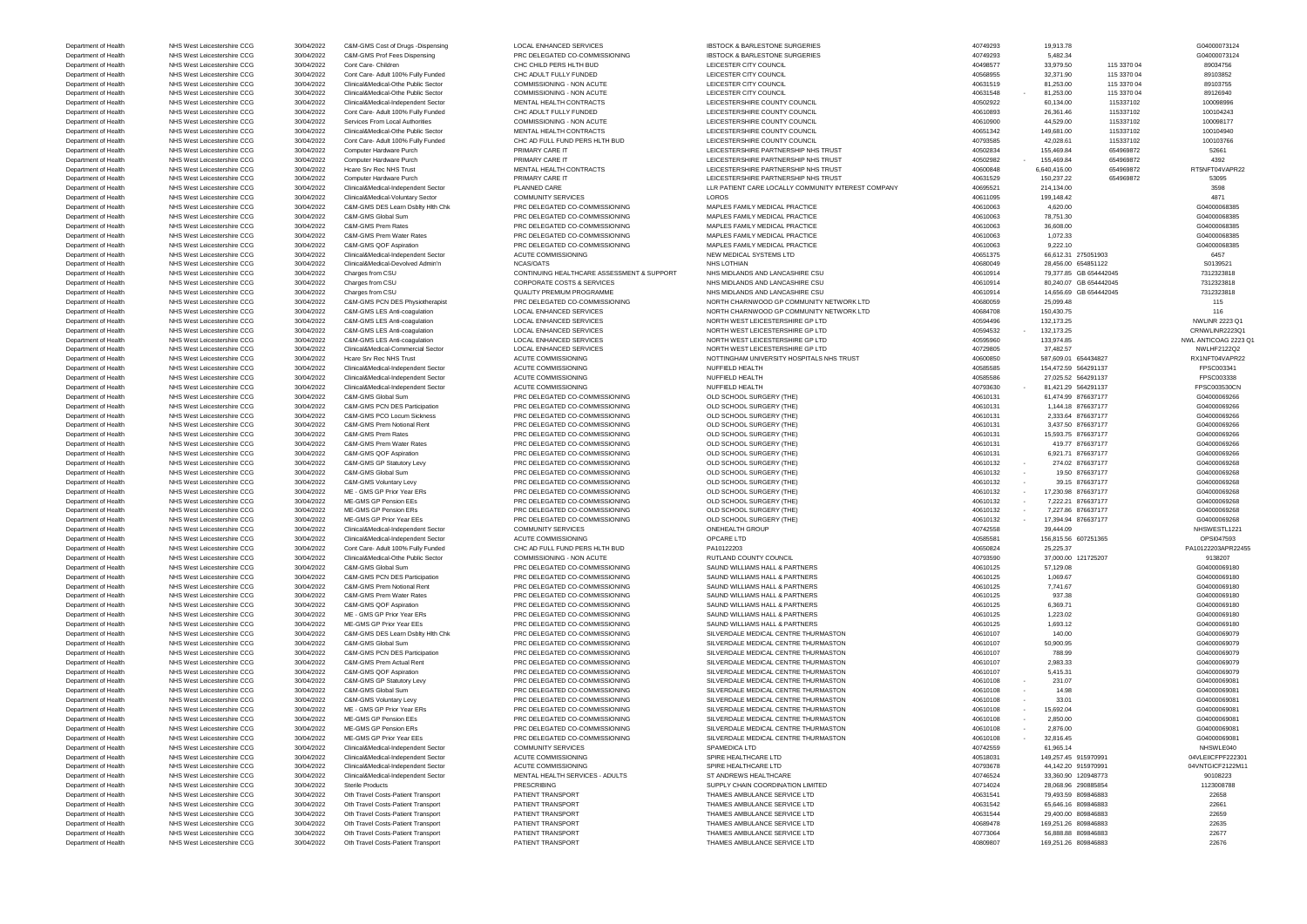Department of Health NHS West Leicestershire CCG 30/04/2022 C&M-GMS Cost of Drugs -Dispensing LOCAL ENHANCED SERVICES IBSTOCK & BARLESTONE SURGERIES 40749293 40749293 19,913.78 19,913.78 604000073124 Department of Health NHS West Leicestershire CCG 30/04/2022 C&M-GMS Prof Fees Dispensing PRC DELEGATED CO-COMMISSIONING IBSTOCK & BARLESTONE SURGERIES 40749293 5,482.34 5,482.34 G04000073124 Department of Health NHS West Leicestershire CCG 30/04/2022 Cont Care- Children CHILD PERS HLTH BUD LEICESTER CITY COUNCIL COUNCIL 40498577 33,979.50 115 3370 04 89034756 Department of Health NHS West Leicestershire CCG 30/04/2022 Cont Care- Adult 100% Fully Funded CHC ADULT FULLY FUNDED LEICESTER CITY COUNCIL 40568955 32,371.90 115 3370 04 89103852 Department of Health NHS West Leicestershire CCG 30/04/2022 Clinical&Medical-Othe Public Sector COMMISSIONING - NON ACUTE LEICESTER CITY COUNCIL 40631519 81,253.00 115 3370 04 89103755 Department of Health NHS West Leicestershire CCG 30/04/2022 Clinical&Medical-Othe Public Sector COMMISSIONING - NON ACUTE LEICESTER CITY COUNCIL LEICESTER CITY COUNCIL 40631548 - 81,253.00 115 3370 04 89126940 Department of Health NHS West Leicestershire CCG 30/04/2022 Clinical&Medical-Independent Sector MENTAL HEALTH CONTRACTS LEICESTERSHIRE COUNTY COUNCIL 40502922 60,134.00 115337102 100098996 Department of Health NHS West Leicestershire CCG 30/04/2022 Cont Care- Adult 100% Fully Funded CHC ADULT FULLY FUNDED LEICESTERSHIRE COUNTY COUNCIL 40610893 26,361.46 115337102 100104243 Department of Health NHS West Leicestershire CCG 30/04/2022 Services From Local Authorities COMMISSIONING - NON ACUTE LEICESTERSHIRE COUNTY COUNCIL 40610900 44,529.00 115337102 100098177 Department of Health NHS West Leicestershire CCG 30/04/2022 Clinical&Medical-Othe Public Sector MENTAL HEALTH CONTRACTS LEICESTERSHIRE COUNTY COUNCIL 40651342 149,681.00 115337102 115337102 100104940 Department of Health NHS West Leicestershire CCG 30/04/2022 Cont Care- Adult 100% Fully Funded CHC AD FULL FUND PERS HLTH BUD LEICESTERSHIRE COUNTY COUNCIL 400 2000 40793585 42,028.61 115337102 100103766 Department of Health NHS West Leicestershire CCG 30/04/2022 Computer Hardware Purch PRIMARY CARE IT PARTNERSHIRE PARTNERSHIRE PARTNERSHIRE PARTNERSHIRE PARTNERSHIRE PARTNERSHIRE PARTNERSHIRE PARTNERSHIRE PARTNERSHIRE PARTN Department of Health NHS West Leicestershire CCG 30/04/2022 Computer Hardware Purch PRIMARY CARE IT A DEICESTERSHIRE PARTNERSHIRE PARTNERSHIP NHS TRUST 40502982 - 155,469.84 654969872 4392 Department of Health NHS West Leicestershire CCG 30/04/2022 Hcare Srv Rec NHS Trust MENTAL HEALTH CONTRACTS LEICESTERSHIRE PARTNERSHIP NHS TRUST 40600848 6,640,416.00 654969872 RT5NFT04VAPR22 Department of Health NHS West Leicestershire CCG 30/04/2022 Computer Hardware Purch PRIMARY CARE IT 2000 DENSERT LEICESTERSHIRE PARTNERSHIP NHS TRUST 40631529 150,237.22 654969872 654969872 53095 Department of Health NHS West Leicestershire CCG 30/04/2022 Clinical&Medical-Independent Sector PLANNED CARE LART DEVIT ATTENT CARE LOCALLY COMMUNITY INTEREST COMPANY 40695521 214,134.00 21598<br>Department of Health NHS West Department of Health NHS West Leicestershire CCG 30/04/2022 Clinical&Medical-Voluntary Sector COMMUNITY SERVICES LOROS LOROS 40611095 199,148.42 4871 4871 Department of Health NHS West Leicestershire CCG 30/04/2022 C&M-GMS DES Learn Dsblty Hlth Chk PRC DELEGATED CO-COMMISSIONING MAPLES FAMILY MEDICAL PRACTICE 40610063 4,620.00 40610063 4,620.00 40610068385 Department of Health NHS West Leicestershire CCG 30/04/2022 C&M-GMS Global Sum PRC DELEGATED CO-COMMISSIONING MAPLES FAMILY MEDICAL PRACTICE 40610063 40610063 78,751.30 78,751.30 604000068385 Department of Health NHS West Leicestershire CCG 30/04/2022 C&M-GMS Prem Rates PRC DELEGATED CO-COMMISSIONING MAPLES FAMILY MEDICAL PRACTICE 40610063 40610063 40610063 36,608.00 36,608.00 G04000068385 Department of Health NHS West Leicestershire CCG 30/04/2022 C&M-GMS Prem Water Rates PRC DELEGATED CO-COMMISSIONING MAPLES FAMILY MEDICAL PRACTICE 40610063 40610063 1,072.33 1,072.33 604000068385 Department of Health NHS West Leicestershire CCG 30/04/2022 C&M-GMS QOF Aspiration PRC DELEGATED CO-COMMISSIONING MAPLES FAMILY MEDICAL PRACTICE 40610063 40610063 9,222.10 9,222.10 604000068385 Department of Health NHS West Leicestershire CCG 30/04/2022 Clinical&Medical-Independent Sector ACUTE COMMISSIONING NEW MEDICAL SYSTEMS LTD 40651375 66,612.31 275051903 66,612.31 275051903 6457 Department of Health NHS West Leicestershire CCG 30/04/2022 Clinical&Medical-Devolved Admin'n NCAS/OATS NHS LOTHIAN NHS LOTHIAN 40680049 28,456.00 654851122 S0139521 Department of Health NHS West Leicestershire CCG 30/04/2022 Charges from CSU CONTINUING HEALTHCARE ASSESSMENT & SUPPORT NHS MIDLANDS AND LANCASHIRE CSU 40610914 79,377.85 GB 654442045 7312323818 Department of Health NHS West Leicestershire CCG 30/04/2022 Charges from CSU CORPORATE COSTS & SERVICES NHS MIDLANDS AND LANCASHIRE CSU 40610914 80,240.07 GB 654442045 7312323818 Department of Health NHS West Leicestershire CCG 30/04/2022 Charges from CSU QUALITY PREMIUM PROGRAMME NHS MIDLANDS AND LANCASHIRE CSU 40610914 14,656.69 GB 654442045 7312323818 Department of Health NHS West Leicestershire CCG 30/04/2022 C&M-GMS PCN DES Physiotherapist PRC DELEGATED CO-COMMISSIONING NORTH CHARNWOOD GP COMMUNITY NETWORK LTD 40680059 25,099.48 25,099.48 115<br>Department of Health NHS Department of Health NHS West Leicestershire CCG 30/04/2022 C&M-GMS LES Anti-coagulation LOCAL ENHANCED SERVICES NORTH CHARNWOOD GP COMMUNITY NETWORK LTD 40684708 150,430.75 116 Department of Health NHS West Leicestershire CCG 30/04/2022 C&M-GMS LES Anti-coagulation LOCAL ENHANCED SERVICES NORTH WEST LEICESTERSHIRE GP LTD 40594496 132,173.25 132,173.25 NWLINR 2223 Q1 Department of Health NHS West Leicestershire CCG 30/04/2022 C&M-GMS LES Anti-coagulation LOCAL ENHANCED SERVICES NORTH WEST LEICESTERSHIRE GP LTD 40594532 - 132,173.25 132,173.25 CRNWLINR2223Q1 Department of Health NHS West Leicestershire CCG 30/04/2022 C&M-GMS LES Anti-coagulation LOCAL ENHANCED SERVICES NORTH WEST LEICESTERSHIRE GP LTD 40595960 133,974.85 NWL ANTICOAG 2223 Q1 Department of Health NHS West Leicestershire CCG 30/04/2022 Clinical&Medical-Commercial Sector LOCAL ENHANCED SERVICES NORTH WEST LEICESTERSHIRE GP LTD 40729805 37,482.57 37482.57 NWLHF2122Q2 Department of Health NHS West Leicestershire CCG 30/04/2022 Hcare Srv Rec NHS Trust ACUTE COMMISSIONING NOTTINGHAM UNIVERSITY HOSPITALS NHS TRUST 40600850 587,609.01 654434827 RX1NFT04VAPR22 Department of Health NHS West Leicestershire CCG 30/04/2022 Clinical&Medical-Independent Sector ACUTE COMMISSIONING NUFFIELD HEALTH 40585585 154,472.59 564291137 FPSC003341 Department of Health NHS West Leicestershire CCG 30/04/2022 Clinical&Medical-Independent Sector ACUTE COMMISSIONING NUFFIELD HEALTH 40585586 27,025.52 564291137 FPSC003338 Department of Health NHS West Leicestershire CCG 30/04/2022 Clinical&Medical-Independent Sector ACUTE COMMISSIONING NUFFIELD HEALTH 40793630 4 40793630 - 81,421.29 564291137 FPSC003530CN Department of Health NHS West Leicestershire CCG 30/04/2022 C&M-GMS Global Sum PRC DELEGATED CO-COMMISSIONING OLD SCHOOL SURGERY (THE) 40610131 40610131 61,474.99 876637177 60000009266 Department of Health NHS West Leicestershire CCG 30/04/2022 C&M-GMS PCN DES Participation PRC DELEGATED CO-COMMISSIONING OLD SCHOOL SURGERY (THE) 40610131 40610131 1,144.18 876637177 60000009266 Department of Health NHS West Leicestershire CCG 30/04/2022 C&M-GMS PCO Locum Sickness PRC DELEGATED CO-COMMISSIONING OLD SCHOOL SURGERY (THE) 40610131 40610131 2,333.64 876637177 6604000069266 Department of Health NHS West Leicestershire CCG 30/04/2022 C&M-GMS Prem Notional Rent PRC DELEGATED CO-COMMISSIONING OLD SCHOOL SURGERY (THE) 40610131 40610131 3,437.50 876637177 G04000069266 Department of Health NHS West Leicestershire CCG 30/04/2022 C&M-GMS Prem Rates PRC DELEGATED CO-COMMISSIONING OLD SCHOOL SURGERY (THE) 40610131 40610131 15,593.75 876637177 G04000069266 Department of Health NHS West Leicestershire CCG 30/04/2022 C&M-GMS Prem Water Rates PRC DELEGATED CO-COMMISSIONING OLD SCHOOL SURGERY (THE) 40610131 419.77 876637177 419.77 476637177 604000069266 Department of Health NHS West Leicestershire CCG 30/04/2022 C&M-GMS QOF Aspiration PRC DELEGATED CO-COMMISSIONING OLD SCHOOL SURGERY (THE) 40610131 40610131 6,921.71 876637177 6604000069266 Department of Health NHS West Leicestershire CCG 30/04/2022 C&M-GMS GP Statutory Levy PRC DELEGATED CO-COMMISSIONING OLD SCHOOL SURGERY (THE) 40610132 - 274.02 876637177 6604000069268 Department of Health NHS West Leicestershire CCG 30/04/2022 C&M-GMS Global Sum PRC DELEGATED CO-COMMISSIONING OLD SCHOOL SURGERY (THE) 40610132 - 19.50 876637177 6604000069268 Department of Health NHS West Leicestershire CCG 30/04/2022 C&M-GMS Voluntary Levy PRC DELEGATED CO-COMMISSIONING OLD SCHOOL SURGERY (THE) 40610132 - 39.15 876637177 ST 604000069268 Department of Health NHS West Leicestershire CCG 30/04/2022 ME - GMS GP Prior Year ERs PRC DELEGATED CO-COMMISSIONING OLD SCHOOL SURGERY (THE) 40610132 - 17,230.98 876637177 G04000069268 Department of Health NHS West Leicestershire CCG 30/04/2022 ME-GMS GP Pension EEs PRC DELEGATED CO-COMMISSIONING OLD SCHOOL SURGERY (THE) 40610132 - 7,222.21 876637177 6604000069268 Department of Health NHS West Leicestershire CCG 30/04/2022 ME-GMS GP Pension ERs PRC DELEGATED CO-COMMISSIONING OLD SCHOOL SURGERY (THE) 40610132 - 7,227.86 876637177 G04000069268 Department of Health NHS West Leicestershire CCG 30/04/2022 ME-GMS GP Prior Year EEs PRC DELEGATED CO-COMMISSIONING OLD SCHOOL SURGERY (THE) 40610132 - 17,394.94 876637177 G04000069268 Department of Health NHS West Leicestershire CCG 30/04/2022 Clinical&Medical-Independent Sector COMMUNITY SERVICES ONEHEALTH GROUP 001 0NEHEALTH GROUP 40742558 39,444.09 39,444.09 NHSWESTL1221 Department of Health NHS West Leicestershire CCG 30/04/2022 Clinical&Medical-Independent Sector ACUTE COMMISSIONING OPCARE LTD QPCARE LTD 40585581 156,815.56 607251365 07251365 OPSI047593 Department of Health NHS West Leicestershire CCG 30/04/2022 Cont Care- Adult 100% Fully Funded CHC AD FULL FUND PERS HLTH BUD PA10122203 PA10122203 APRADIA PA10122013 ADSOB24 25,225.37 25,225.37 PA10122203APR22455 Department of Health NHS West Leicestershire CCG 30/04/2022 Clinical&Medical-Othe Public Sector COMMISSIONING - NON ACUTE RUTLAND COUNTY COUNTY COUNCIL 40793590 37,000.00 121725207 9138207 9138207 Department of Health NHS West Leicestershire CCG 30/04/2022 C&M-GMS Global Sum PRC DELEGATED CO-COMMISSIONING SAUND WILLIAMS HALL & PARTNERS 40610125 40610125 57,129.08 57,129.08 604000069180 Department of Health NHS West Leicestershire CCG 30/04/2022 C&M-GMS PCN DES Participation PRC DELEGATED CO-COMMISSIONING SAUND WILLIAMS HALL & PARTNERS 40610125 40610125 1,069.67 1,069.67 604000069180 Department of Health NHS West Leicestershire CCG 30/04/2022 C&M-GMS Prem Notional Rent PRC DELEGATED CO-COMMISSIONING SAUND WILLIAMS HALL & PARTNERS 40610125 7,741.67 40610125 7,741.67 604000069180 Department of Health NHS West Leicestershire CCG 30/04/2022 C&M-GMS Prem Water Rates PRC DELEGATED CO-COMMISSIONING SAUND WILLIAMS HALL & PARTNERS 40610125 937.38 937.38 937.38 SCO4000069180 Department of Health NHS West Leicestershire CCG 30/04/2022 C&M-GMS QOF Aspiration PRC DELEGATED CO-COMMISSIONING SAUND WILLIAMS HALL & PARTNERS 40610125 40610125 6,369.71 604000069180 Department of Health NHS West Leicestershire CCG 30/04/2022 ME - GMS GP Prior Year ERs PRC DELEGATED CO-COMMISSIONING SAUND WILLIAMS HALL & PARTNERS 40610125 40610125 1,223.02 1,223.02 604000069180 Department of Health NHS West Leicestershire CCG 30/04/2022 ME-GMS GP Prior Year EEs PRC DELEGATED CO-COMMISSIONING SAUND WILLIAMS HALL & PARTNERS 40610125 40610125 1,693.12 1,693.12 G04000069180 Department of Health NHS West Leicestershire CCG 30/04/2022 C&M-GMS DES Learn Dsblty Hlth Chk PRC DELEGATED CO-COMMISSIONING SILVERDALE MEDICAL CENTRE THURMASTON 40610107 140.00 140.00 140.00 604000069079 Department of Health NHS West Leicestershire CCG 30/04/2022 C&M-GMS Global Sum PRC DELEGATED CO-COMMISSIONING SILVERDALE MEDICAL CENTRE THURMASTON 40610107 40610107 50,900.95 40610107 50,900.95 604000069079 Department of Health NHS West Leicestershire CCG 30/04/2022 C&M-GMS PCN DES Participation PRC DELEGATED CO-COMMISSIONING SILVERDALE MEDICAL CENTRE THURMASTON 40610107 788.99 40610107 788.99 604000069079 Department of Health NHS West Leicestershire CCG 30/04/2022 C&M-GMS Prem Actual Rent PRC DELEGATED CO-COMMISSIONING SILVERDALE MEDICAL CENTRE THURMASTON 40610107 2,983.33 40610107 2,983.33 604000069079 Department of Health NHS West Leicestershire CCG 30/04/2022 C&M-GMS QOF Aspiration PRC DELEGATED CO-COMMISSIONING SILVERDALE MEDICAL CENTRE THURMASTON 40610107 5,415.31 504000069079 Department of Health NHS West Leicestershire CCG 30/04/2022 C&M-GMS GP Statutory Levy PRC DELEGATED CO-COMMISSIONING SILVERDALE MEDICAL CENTRE THURMASTON 40610108 - 231.07 40610108 - 231.07 G04000069081 Department of Health NHS West Leicestershire CCG 30/04/2022 C&M-GMS Global Sum PRC DELEGATED CO-COMMISSIONING SILVERDALE MEDICAL CENTRE THURMASTON 40610108 - 14.98 40610108 - 14.98 G04000069081 Department of Health NHS West Leicestershire CCG 30/04/2022 C&M-GMS Voluntary Levy PRC DELEGATED CO-COMMISSIONING SILVERDALE MEDICAL CENTRE THURMASTON 40610108 - 33.01 40610108 - 33.01 G04000069081 Department of Health NHS West Leicestershire CCG 30/04/2022 ME - GMS GP Prior Year ERs PRC DELEGATED CO-COMMISSIONING SILVERDALE MEDICAL CENTRE THURMASTON 40610108 - 15,692.04 40610108 - 15,692.04 G04000069081 Department of Health NHS West Leicestershire CCG 30/04/2022 ME-GMS GP Pension EEs PRC DELEGATED CO-COMMISSIONING SILVERDALE MEDICAL CENTRE THURMASTON 40610108 - 2,850.00 40610108 - 2,850.00 604000069081 Department of Health NHS West Leicestershire CCG 30/04/2022 ME-GMS GP Pension ERs PRC DELEGATED CO-COMMISSIONING SILVERDALE MEDICAL CENTRE THURMASTON 40610108 - 2,876.00 40610108 - 2,876.00 604000069081 Department of Health NHS West Leicestershire CCG 30/04/2022 ME-GMS GP Prior Year EEs PRC DELEGATED CO-COMMISSIONING SILVERDALE MEDICAL CENTRE THURMASTON 40610108 - 32,816.45 40610108 - 32,816.45 G04000069081 Department of Health NHS West Leicestershire CCG 30/04/2022 Clinical&Medical-Independent Sector COMMUNITY SERVICES SPAMEDICA LTD SPAMEDICA LTD 40742559 61,965.14 61,965.14 NHSWLE040 Department of Health NHS West Leicestershire CCG 30/04/2022 Clinical&Medical-Independent Sector ACUTE COMMISSIONING SPIRE HEALTHCARE LTD 40518031 149,257.45 915970991 149,257.45 915970991 04VLEIICFPF222301 Department of Health NHS West Leicestershire CCG 30/04/2022 Clinical&Medical-Independent Sector ACUTE COMMISSIONING SPIRE HEALTHCARE LTD 407 ACUTE ACUTE COMMISSIONING SPIRE HEALTHCARE LTD 40793678 44,142.20 915970991 04VNT Department of Health NHS West Leicestershire CCG 30/04/2022 Clinical&Medical-Independent Sector MENTAL HEALTH SERVICES - ADULTS ST ANDREWS HEALTHCARE 40746524 40746524 33,360.90 120948773 90108223 90108223 Department of Health NHS West Leicestershire CCG 30/04/2022 Sterile Products PRESCRIBING PRESCRIBING SUPPLY CHAIN COORDINATION LIMITED 40714024 28,068.96 290885854 1123008788 Department of Health NHS West Leicestershire CCG 30/04/2022 Oth Travel Costs-Patient Transport PATIENT TRANSPORT PATIENT TRANSPORT THAMES AMBULANCE SERVICE LTD 40631541 79,493.59 809846883 22658 Department of Health NHS West Leicestershire CCG 30/04/2022 Oth Travel Costs-Patient Transport PATIENT TRANSPORT PATIENT TRANSPORT THAMES AMBULANCE SERVICE LTD 40631542 65,646.16 809846883 22661 Department of Health NHS West Leicestershire CCG 30/04/2022 Oth Travel Costs-Patient Transport PATIENT TRANSPORT PATIENT TRANSPORT THAMES AMBULANCE SERVICE LTD 40631544 29,400.00 809846883 22659 Department of Health NHS West Leicestershire CCG 30/04/2022 Oth Travel Costs-Patient Transport PATIENT TRANSPORT PATIENT TRANSPORT THAMES AMBULANCE SERVICE LTD 40689478 169,251.26 809846883 22635 Department of Health NHS West Leicestershire CCG 30/04/2022 Oth Travel Costs-Patient Transport PATIENT TRANSPORT PATIENT TRANSPORT THAMES AMBULANCE SERVICE LTD 40773064 56,888.88 809846883 22677

Department of Health NHS West Leicestershire CCG 30/04/2022 Oth Travel Costs-Patient Transport PATIENT TRANSPORT PATIENT TRANSPORT THAMES AMBULANCE SERVICE LTD 40809807 169,251.26 809846883 22676